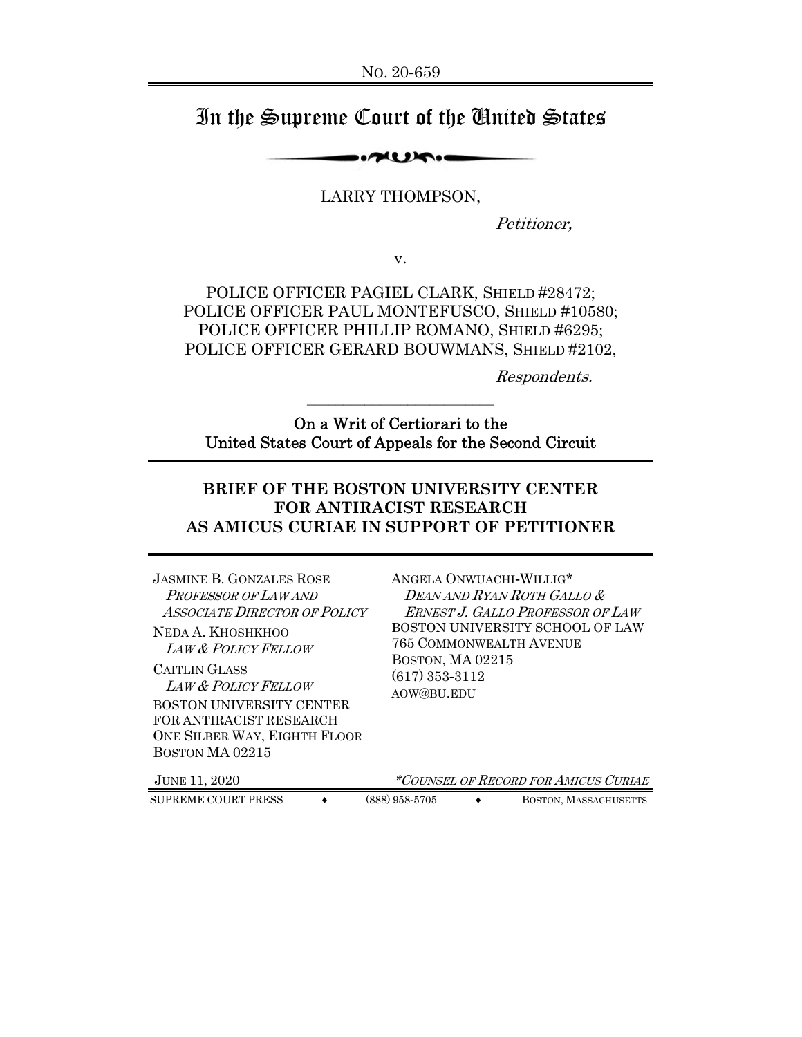## In the Supreme Court of the United States

 $\sim$ 

LARRY THOMPSON,

Petitioner,

v.

POLICE OFFICER PAGIEL CLARK, SHIELD #28472; POLICE OFFICER PAUL MONTEFUSCO, SHIELD #10580; POLICE OFFICER PHILLIP ROMANO, SHIELD #6295; POLICE OFFICER GERARD BOUWMANS, SHIELD #2102,

Respondents.

On a Writ of Certiorari to the United States Court of Appeals for the Second Circuit

 $\mathcal{L}_\text{max}$ 

#### **BRIEF OF THE BOSTON UNIVERSITY CENTER FOR ANTIRACIST RESEARCH AS AMICUS CURIAE IN SUPPORT OF PETITIONER**

| <b>JASMINE B. GONZALES ROSE</b><br>PROFESSOR OF LAW AND<br><b>ASSOCIATE DIRECTOR OF POLICY</b><br>NEDA A. KHOSHKHOO<br><b>LAW &amp; POLICY FELLOW</b><br>CAITLIN GLASS<br><b>LAW &amp; POLICY FELLOW</b><br>BOSTON UNIVERSITY CENTER<br>FOR ANTIRACIST RESEARCH<br>ONE SILBER WAY, EIGHTH FLOOR<br>BOSTON MA <sub>02215</sub> | ANGELA ONWUACHI-WILLIG*<br>DEAN AND RYAN ROTH GALLO &<br><b>ERNEST J. GALLO PROFESSOR OF LAW</b><br>BOSTON UNIVERSITY SCHOOL OF LAW<br><b>765 COMMONWEALTH AVENUE</b><br>BOSTON, MA 02215<br>$(617)$ 353-3112<br>AOW@BU.EDU |
|-------------------------------------------------------------------------------------------------------------------------------------------------------------------------------------------------------------------------------------------------------------------------------------------------------------------------------|-----------------------------------------------------------------------------------------------------------------------------------------------------------------------------------------------------------------------------|
| <b>JUNE 11, 2020</b>                                                                                                                                                                                                                                                                                                          | *COUNSEL OF RECORD FOR AMICUS CURIAE                                                                                                                                                                                        |
| <b>SUPREME COURT PRESS</b>                                                                                                                                                                                                                                                                                                    | (888) 958-5705<br>BOSTON, MASSACHUSETTS                                                                                                                                                                                     |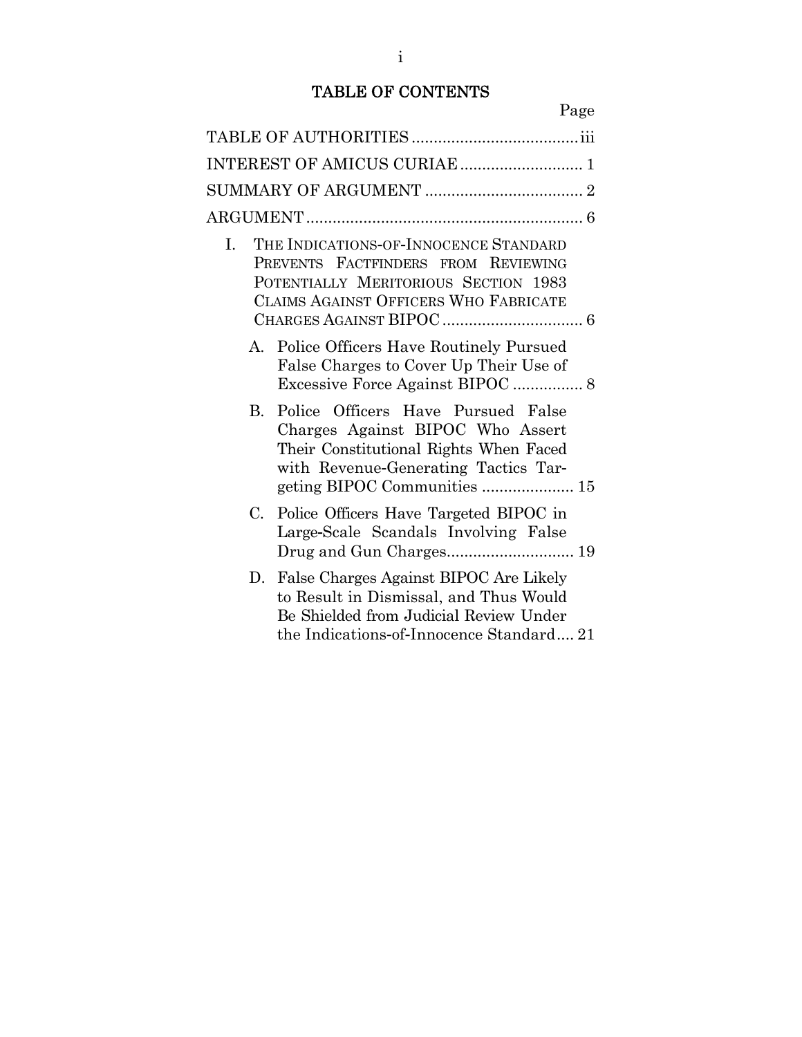## TABLE OF CONTENTS

|--|

| Ι.       | THE INDICATIONS-OF-INNOCENCE STANDARD<br>PREVENTS FACTFINDERS FROM REVIEWING<br>POTENTIALLY MERITORIOUS SECTION 1983<br>CLAIMS AGAINST OFFICERS WHO FABRICATE                            |
|----------|------------------------------------------------------------------------------------------------------------------------------------------------------------------------------------------|
|          | A. Police Officers Have Routinely Pursued<br>False Charges to Cover Up Their Use of                                                                                                      |
| $\bf{B}$ | Police Officers Have Pursued False<br>Charges Against BIPOC Who Assert<br>Their Constitutional Rights When Faced<br>with Revenue-Generating Tactics Tar-<br>geting BIPOC Communities  15 |
|          | C. Police Officers Have Targeted BIPOC in<br>Large-Scale Scandals Involving False<br>Drug and Gun Charges 19                                                                             |
|          | D. False Charges Against BIPOC Are Likely<br>to Result in Dismissal, and Thus Would<br>Be Shielded from Judicial Review Under<br>the Indications-of-Innocence Standard 21                |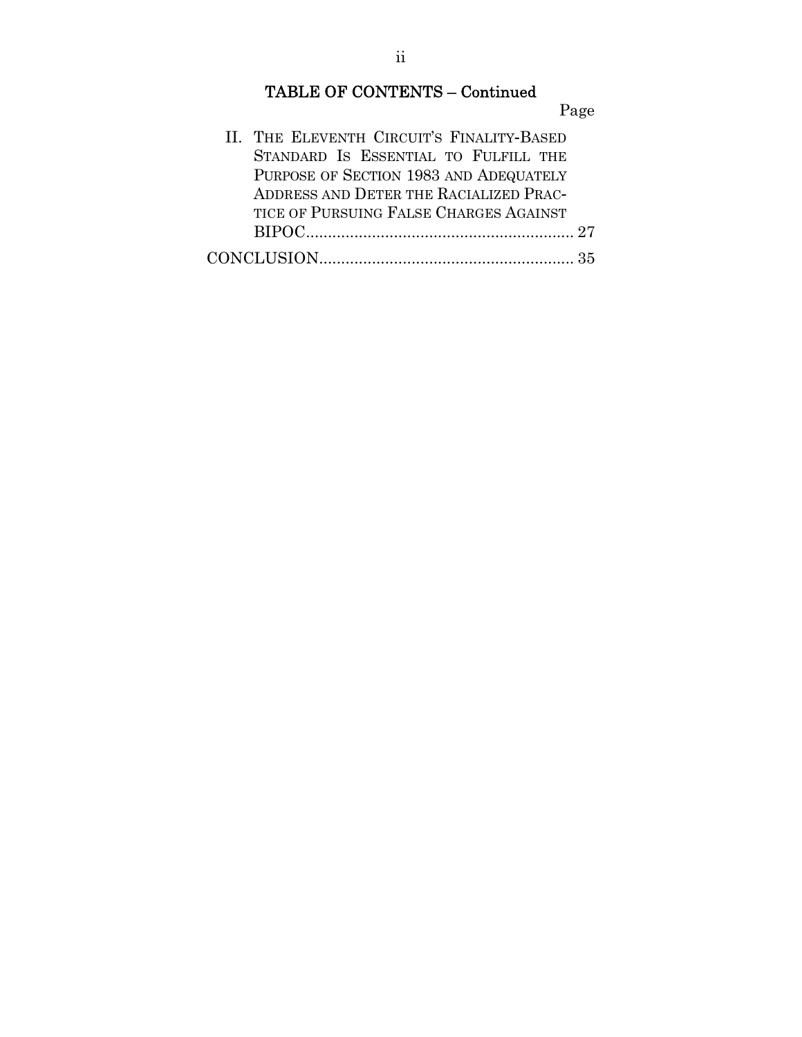## TABLE OF CONTENTS – Continued

| II. THE ELEVENTH CIRCUIT'S FINALITY-BASED |  |
|-------------------------------------------|--|
| STANDARD IS ESSENTIAL TO FULFILL THE      |  |
| PURPOSE OF SECTION 1983 AND ADEQUATELY    |  |
| ADDRESS AND DETER THE RACIALIZED PRAC-    |  |
| TICE OF PURSUING FALSE CHARGES AGAINST    |  |
|                                           |  |
|                                           |  |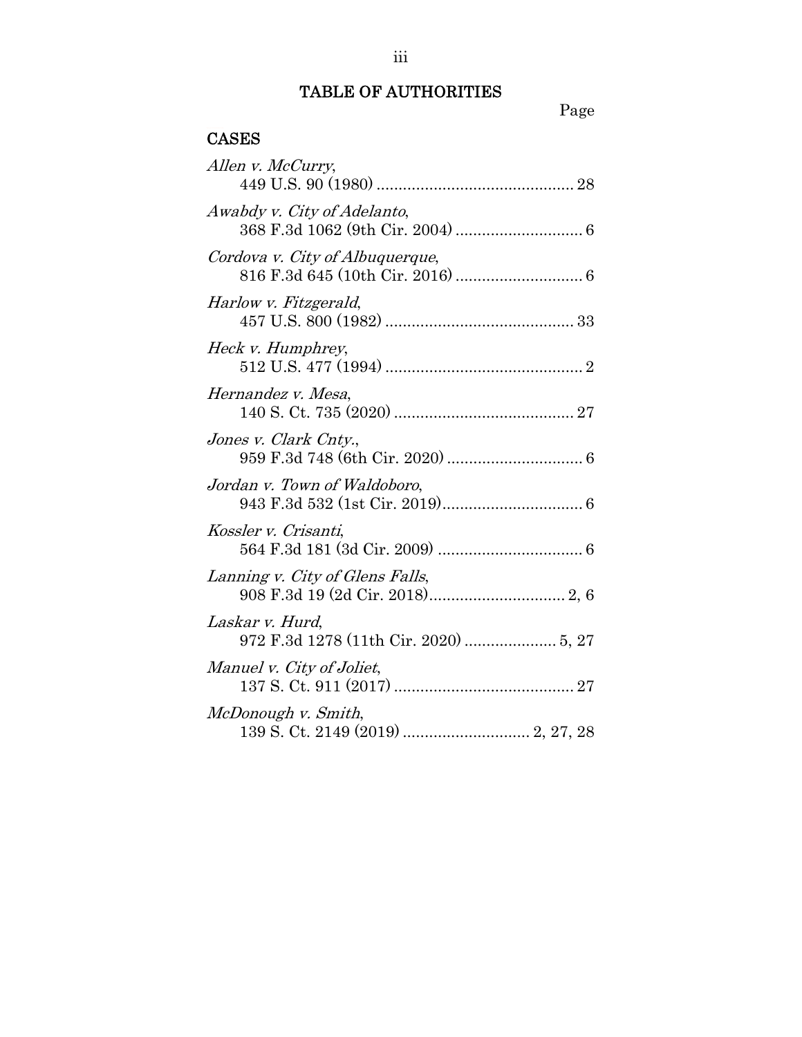#### TABLE OF AUTHORITIES

# Page Table

#### **CASES**

| Allen v. McCurry,               |
|---------------------------------|
| Awabdy v. City of Adelanto,     |
| Cordova v. City of Albuquerque, |
| Harlow v. Fitzgerald,           |
| Heck v. Humphrey,               |
| Hernandez v. Mesa,              |
| Jones v. Clark Cnty.,           |
| Jordan v. Town of Waldoboro,    |
| Kossler v. Crisanti,            |
| Lanning v. City of Glens Falls, |
| Laskar v. Hurd,                 |
| Manuel v. City of Joliet,       |
| McDonough v. Smith,             |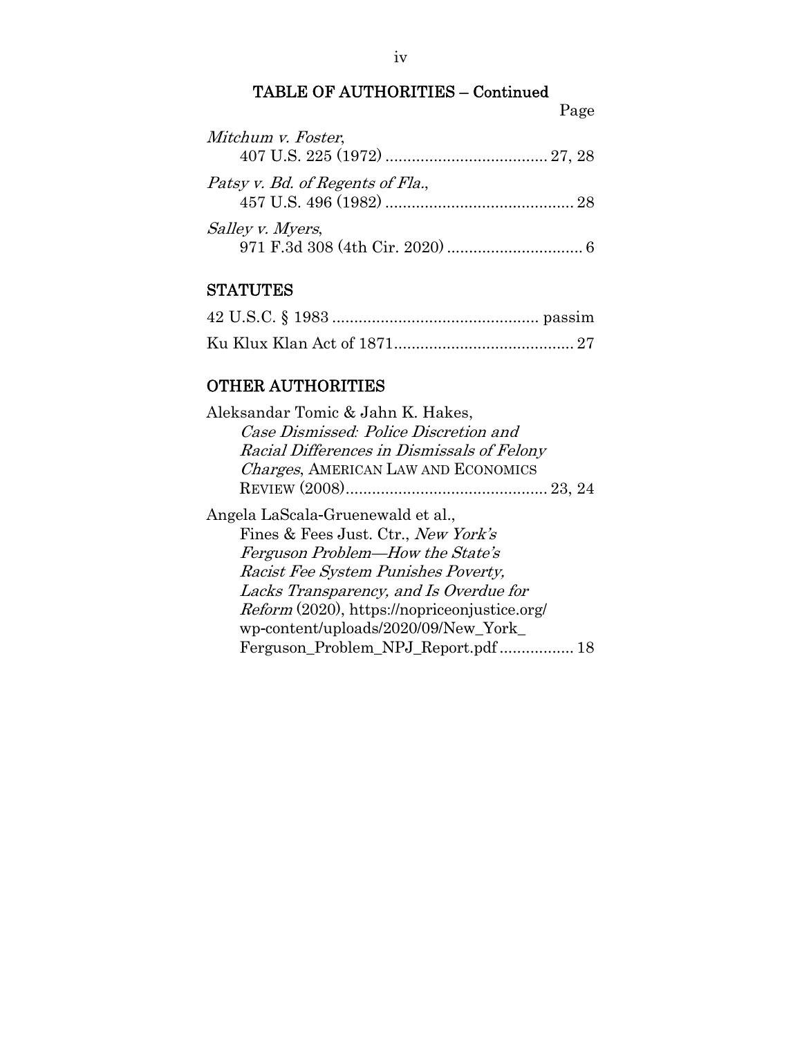|--|

| Mitchum v. Foster,               |  |
|----------------------------------|--|
|                                  |  |
| Patsy v. Bd. of Regents of Fla., |  |
| Salley v. Myers,                 |  |

#### **STATUTES**

#### OTHER AUTHORITIES

| Aleksandar Tomic & Jahn K. Hakes,            |
|----------------------------------------------|
| Case Dismissed: Police Discretion and        |
| Racial Differences in Dismissals of Felony   |
| <i>Charges, AMERICAN LAW AND ECONOMICS</i>   |
|                                              |
| Angela LaScala-Gruenewald et al.,            |
| Fines & Fees Just. Ctr., New York's          |
| Ferguson Problem—How the State's             |
| Racist Fee System Punishes Poverty,          |
| Lacks Transparency, and Is Overdue for       |
| Reform (2020), https://nopriceonjustice.org/ |
| wp-content/uploads/2020/09/New_York_         |

Ferguson\_Problem\_NPJ\_Report.pdf ................. 18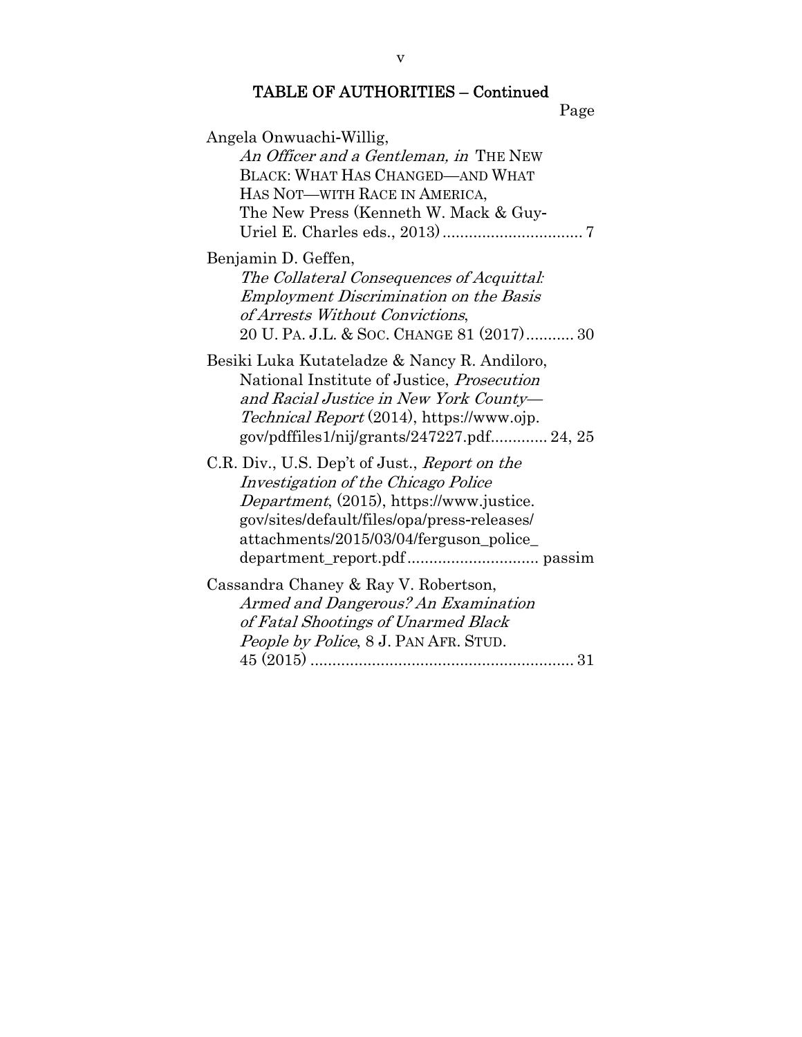#### v

## TABLE OF AUTHORITIES – Continued

| Angela Onwuachi-Willig,<br>An Officer and a Gentleman, in THE NEW<br>BLACK: WHAT HAS CHANGED-AND WHAT<br>HAS NOT-WITH RACE IN AMERICA,<br>The New Press (Kenneth W. Mack & Guy-                                                        |
|----------------------------------------------------------------------------------------------------------------------------------------------------------------------------------------------------------------------------------------|
| Benjamin D. Geffen,<br>The Collateral Consequences of Acquittal:<br><b>Employment Discrimination on the Basis</b><br>of Arrests Without Convictions,<br>20 U. PA. J.L. & Soc. Change 81 (2017) 30                                      |
| Besiki Luka Kutateladze & Nancy R. Andiloro,<br>National Institute of Justice, <i>Prosecution</i><br>and Racial Justice in New York County-<br>Technical Report (2014), https://www.ojp.<br>gov/pdffiles1/nij/grants/247227.pdf 24, 25 |
| C.R. Div., U.S. Dep't of Just., Report on the<br>Investigation of the Chicago Police<br><i>Department</i> , (2015), https://www.justice.<br>gov/sites/default/files/opa/press-releases/<br>attachments/2015/03/04/ferguson_police_     |
| Cassandra Chaney & Ray V. Robertson,<br>Armed and Dangerous? An Examination<br>of Fatal Shootings of Unarmed Black<br>People by Police, 8 J. PAN AFR. STUD.                                                                            |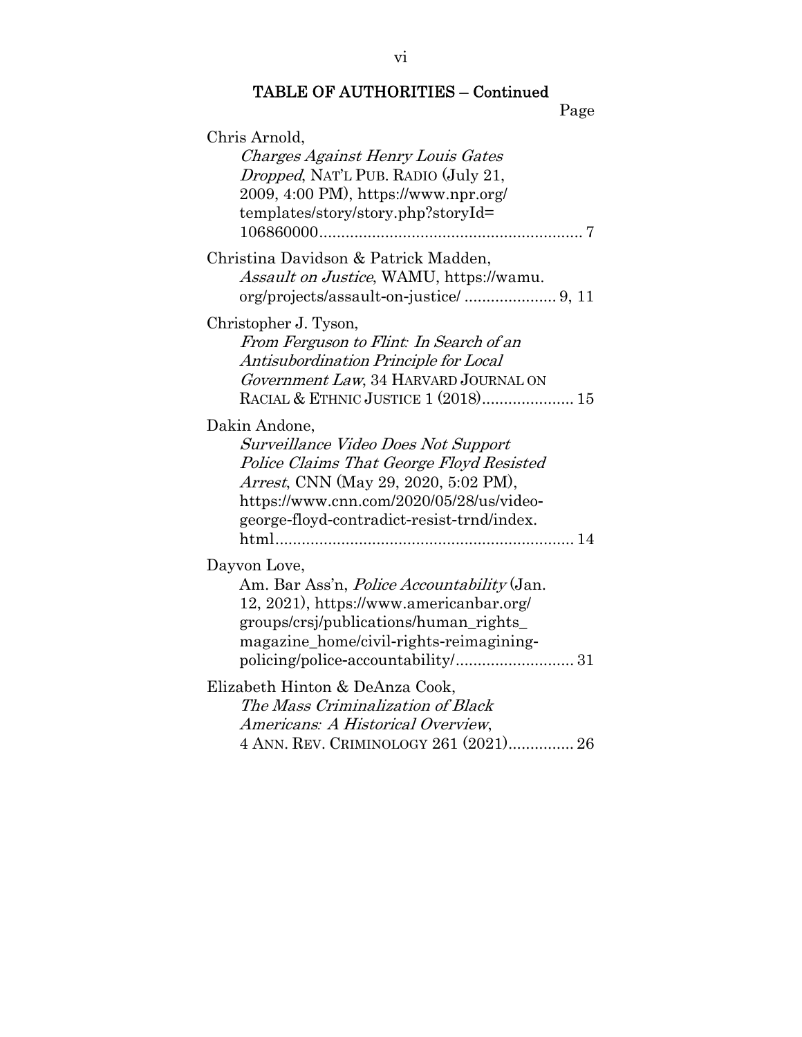| Chris Arnold,<br>Charges Against Henry Louis Gates<br><i>Dropped</i> , NAT'L PUB. RADIO (July 21,<br>$2009, 4:00 \text{ PM}$ , https://www.npr.org/<br>templates/story/story.php?storyId=<br>106860000                                     |
|--------------------------------------------------------------------------------------------------------------------------------------------------------------------------------------------------------------------------------------------|
| Christina Davidson & Patrick Madden,<br><i>Assault on Justice</i> , WAMU, https://wamu.                                                                                                                                                    |
| Christopher J. Tyson,<br>From Ferguson to Flint: In Search of an<br>Antisubordination Principle for Local<br>Government Law, 34 HARVARD JOURNAL ON<br>RACIAL & ETHNIC JUSTICE 1 (2018) 15                                                  |
| Dakin Andone,<br>Surveillance Video Does Not Support<br>Police Claims That George Floyd Resisted<br><i>Arrest</i> , CNN (May 29, 2020, 5:02 PM),<br>https://www.cnn.com/2020/05/28/us/video-<br>george-floyd-contradict-resist-trnd/index. |
| Dayvon Love,<br>Am. Bar Ass'n, <i>Police Accountability</i> (Jan.<br>12, 2021), https://www.americanbar.org/<br>groups/crsj/publications/human_rights_<br>magazine_home/civil-rights-reimagining-                                          |
| Elizabeth Hinton & DeAnza Cook,<br>The Mass Criminalization of Black<br>Americans: A Historical Overview,<br>4 ANN. REV. CRIMINOLOGY 261 (2021) 26                                                                                         |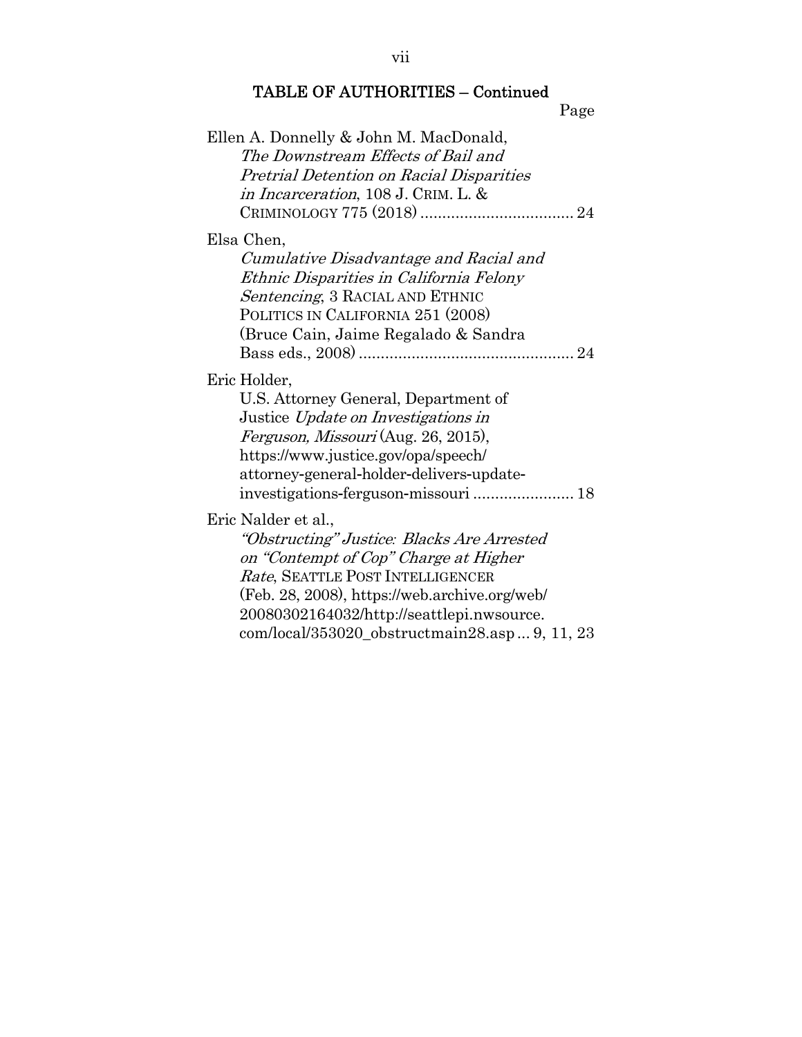| Ellen A. Donnelly & John M. MacDonald,<br>The Downstream Effects of Bail and<br>Pretrial Detention on Racial Disparities<br>in Incarceration, 108 J. CRIM. L. & |
|-----------------------------------------------------------------------------------------------------------------------------------------------------------------|
| Elsa Chen,                                                                                                                                                      |
| Cumulative Disadvantage and Racial and                                                                                                                          |
| Ethnic Disparities in California Felony                                                                                                                         |
| <i>Sentencing</i> , 3 RACIAL AND ETHNIC                                                                                                                         |
| POLITICS IN CALIFORNIA 251 (2008)                                                                                                                               |
| (Bruce Cain, Jaime Regalado & Sandra)                                                                                                                           |
|                                                                                                                                                                 |
| Eric Holder,                                                                                                                                                    |
| U.S. Attorney General, Department of                                                                                                                            |
| Justice Update on Investigations in                                                                                                                             |
| Ferguson, Missouri (Aug. 26, 2015),                                                                                                                             |
| https://www.justice.gov/opa/speech/                                                                                                                             |
| attorney-general-holder-delivers-update-                                                                                                                        |
| investigations-ferguson-missouri 18                                                                                                                             |
| Eric Nalder et al.,                                                                                                                                             |
| "Obstructing" Justice: Blacks Are Arrested                                                                                                                      |
| on "Contempt of Cop" Charge at Higher                                                                                                                           |
| Rate, SEATTLE POST INTELLIGENCER                                                                                                                                |
| (Feb. 28, 2008), https://web.archive.org/web/                                                                                                                   |
| 20080302164032/http://seattlepi.nwsource.                                                                                                                       |
| com/local/353020_obstructmain28.asp 9, 11, 23                                                                                                                   |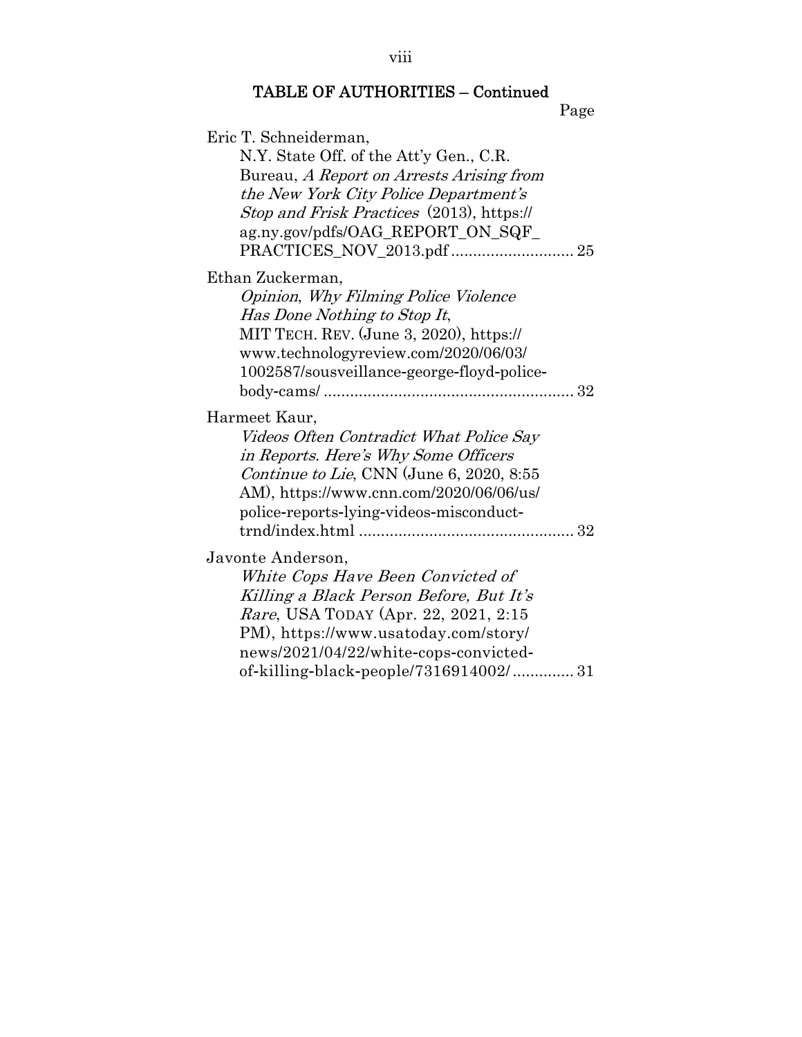| Eric T. Schneiderman,                      |  |
|--------------------------------------------|--|
| N.Y. State Off. of the Att'y Gen., C.R.    |  |
| Bureau, A Report on Arrests Arising from   |  |
| the New York City Police Department's      |  |
| Stop and Frisk Practices (2013), https://  |  |
| ag.ny.gov/pdfs/OAG_REPORT_ON_SQF_          |  |
|                                            |  |
| Ethan Zuckerman,                           |  |
| Opinion, Why Filming Police Violence       |  |
| Has Done Nothing to Stop It,               |  |
| MIT TECH. REV. (June 3, 2020), https://    |  |
| www.technologyreview.com/2020/06/03/       |  |
| 1002587/sousveillance-george-floyd-police- |  |
|                                            |  |
| Harmeet Kaur,                              |  |
| Videos Often Contradict What Police Say    |  |
| in Reports. Here's Why Some Officers       |  |
| Continue to Lie, CNN (June 6, 2020, 8:55   |  |
| AM), https://www.cnn.com/2020/06/06/us/    |  |
| police-reports-lying-videos-misconduct-    |  |
|                                            |  |
| Javonte Anderson,                          |  |
| White Cops Have Been Convicted of          |  |
| Killing a Black Person Before, But It's    |  |
| Rare, USA TODAY (Apr. 22, 2021, 2:15       |  |
| PM), https://www.usatoday.com/story/       |  |
| news/2021/04/22/white-cops-convicted-      |  |
| of-killing-black-people/7316914002/31      |  |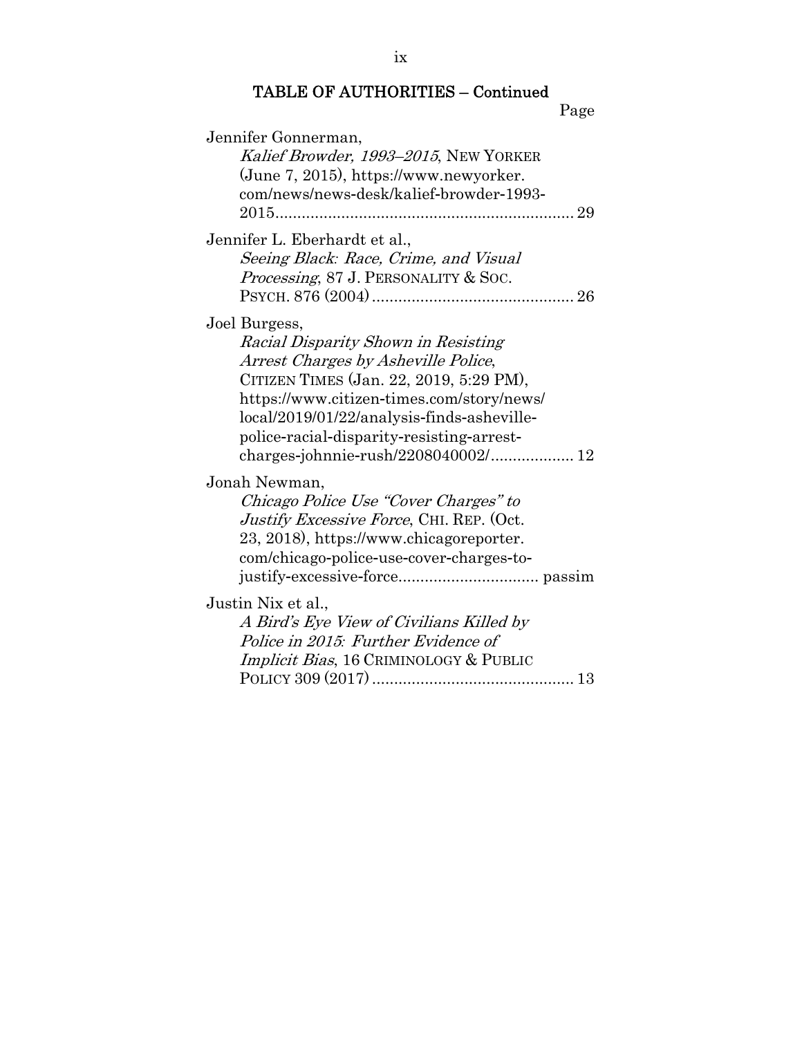ix

## TABLE OF AUTHORITIES – Continued

| Jennifer Gonnerman,                                                             |
|---------------------------------------------------------------------------------|
| Kalief Browder, 1993-2015, NEW YORKER<br>(June 7, 2015), https://www.newyorker. |
| com/news/news-desk/kalief-browder-1993-                                         |
| $2015$                                                                          |
|                                                                                 |
| Jennifer L. Eberhardt et al.,<br>Seeing Black: Race, Crime, and Visual          |
| Processing, 87 J. PERSONALITY & SOC.                                            |
|                                                                                 |
|                                                                                 |
| Joel Burgess,                                                                   |
| Racial Disparity Shown in Resisting<br>Arrest Charges by Asheville Police,      |
| CITIZEN TIMES (Jan. 22, 2019, 5:29 PM),                                         |
| https://www.citizen-times.com/story/news/                                       |
| local/2019/01/22/analysis-finds-asheville-                                      |
| police-racial-disparity-resisting-arrest-                                       |
| charges-johnnie-rush/2208040002/ 12                                             |
|                                                                                 |
| Jonah Newman,<br>Chicago Police Use "Cover Charges" to                          |
| Justify Excessive Force, CHI. REP. (Oct.                                        |
| 23, 2018), https://www.chicagoreporter.                                         |
| com/chicago-police-use-cover-charges-to-                                        |
|                                                                                 |
|                                                                                 |
| Justin Nix et al.,<br>A Bird's Eye View of Civilians Killed by                  |
| Police in 2015: Further Evidence of                                             |
| <i>Implicit Bias, 16 CRIMINOLOGY &amp; PUBLIC</i>                               |
|                                                                                 |
|                                                                                 |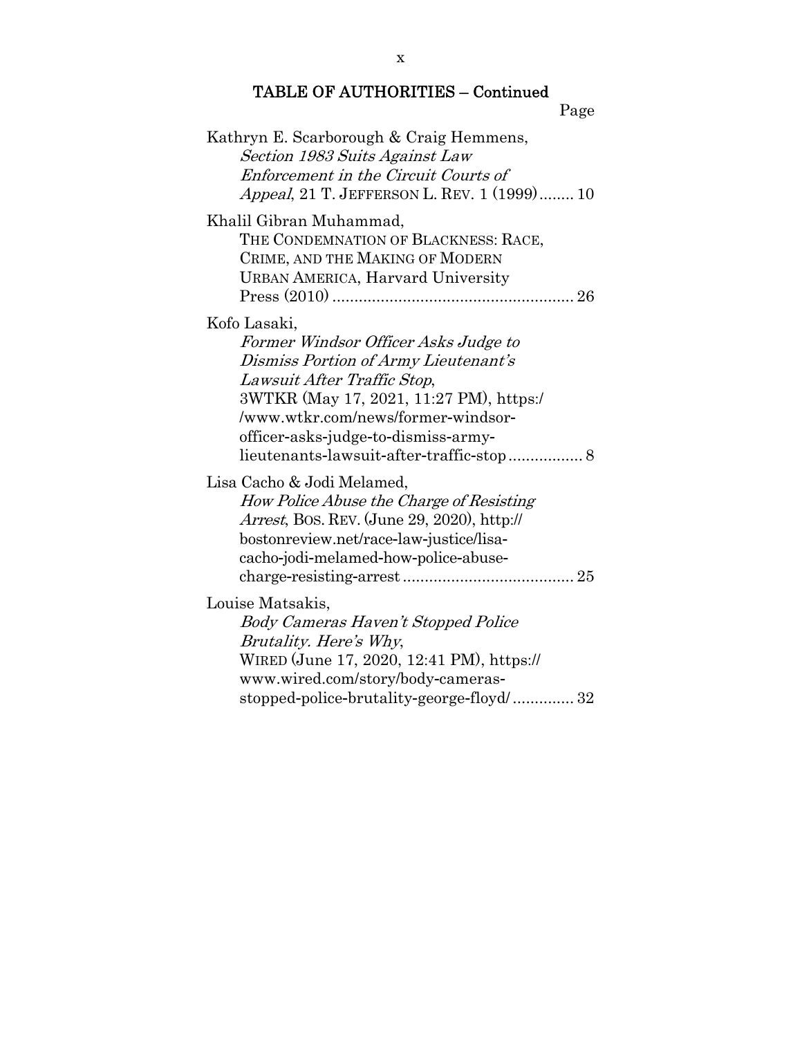| Kathryn E. Scarborough & Craig Hemmens,<br>Section 1983 Suits Against Law<br>Enforcement in the Circuit Courts of<br><i>Appeal</i> , 21 T. JEFFERSON L. REV. 1 (1999) 10                                                                            |
|-----------------------------------------------------------------------------------------------------------------------------------------------------------------------------------------------------------------------------------------------------|
| Khalil Gibran Muhammad,<br>THE CONDEMNATION OF BLACKNESS: RACE,<br>CRIME, AND THE MAKING OF MODERN<br><b>URBAN AMERICA, Harvard University</b>                                                                                                      |
| Kofo Lasaki,<br>Former Windsor Officer Asks Judge to<br>Dismiss Portion of Army Lieutenant's<br>Lawsuit After Traffic Stop,<br>3WTKR (May 17, 2021, 11:27 PM), https:/<br>/www.wtkr.com/news/former-windsor-<br>officer-asks-judge-to-dismiss-army- |
| Lisa Cacho & Jodi Melamed,<br>How Police Abuse the Charge of Resisting<br><i>Arrest</i> , Bos. REV. (June 29, 2020), http://<br>bostonreview.net/race-law-justice/lisa-<br>cacho-jodi-melamed-how-police-abuse-                                     |
| Louise Matsakis,<br>Body Cameras Haven't Stopped Police<br>Brutality. Here's Why,<br>WIRED (June 17, 2020, 12:41 PM), https://<br>www.wired.com/story/body-cameras-<br>stopped-police-brutality-george-floyd/32                                     |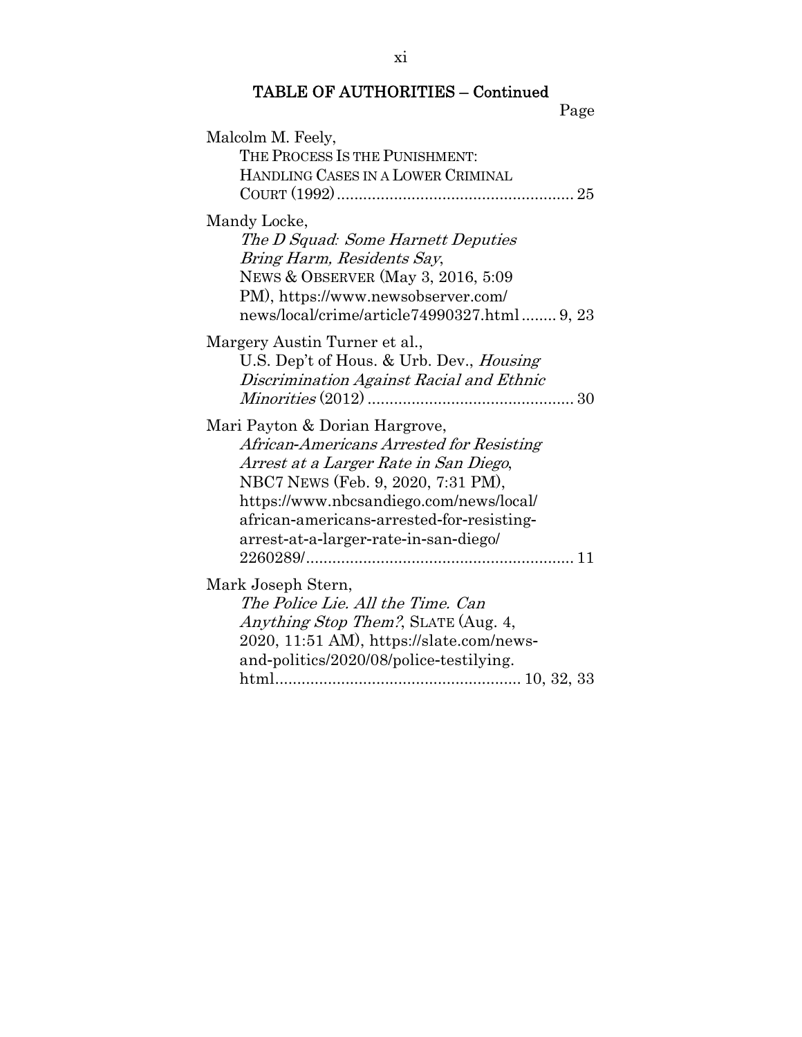| Malcolm M. Feely,<br>THE PROCESS IS THE PUNISHMENT:<br>HANDLING CASES IN A LOWER CRIMINAL                                                                                                                                                                                                  |
|--------------------------------------------------------------------------------------------------------------------------------------------------------------------------------------------------------------------------------------------------------------------------------------------|
| Mandy Locke,<br>The D Squad: Some Harnett Deputies<br>Bring Harm, Residents Say,<br>NEWS & OBSERVER (May 3, 2016, 5:09<br>PM), https://www.newsobserver.com/<br>news/local/crime/article74990327.html 9, 23                                                                                |
| Margery Austin Turner et al.,<br>U.S. Dep't of Hous. & Urb. Dev., Housing<br>Discrimination Against Racial and Ethnic                                                                                                                                                                      |
| Mari Payton & Dorian Hargrove,<br>African-Americans Arrested for Resisting<br>Arrest at a Larger Rate in San Diego,<br>NBC7 NEWS (Feb. 9, 2020, 7:31 PM),<br>https://www.nbcsandiego.com/news/local/<br>african-americans-arrested-for-resisting-<br>arrest-at-a-larger-rate-in-san-diego/ |
| Mark Joseph Stern,<br>The Police Lie. All the Time. Can<br>Anything Stop Them?, SLATE (Aug. 4,<br>2020, 11:51 AM), https://slate.com/news-<br>and-politics/2020/08/police-testilying.                                                                                                      |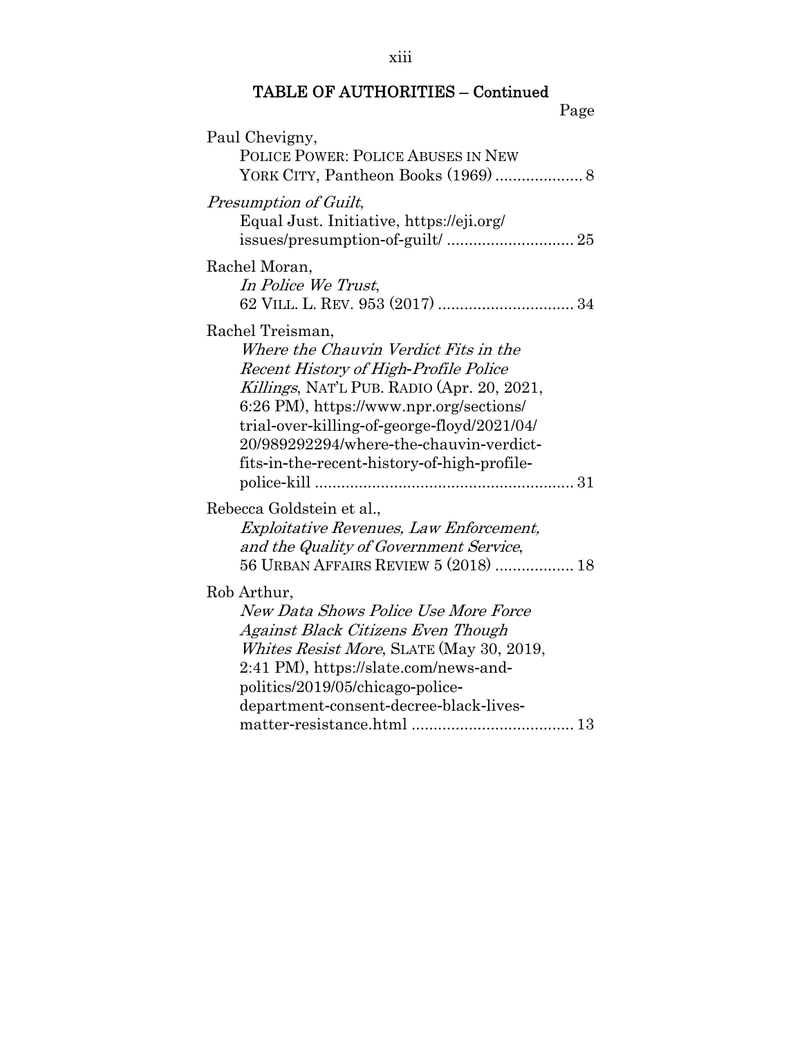xiii

## TABLE OF AUTHORITIES – Continued

| Paul Chevigny,                                 |
|------------------------------------------------|
| POLICE POWER: POLICE ABUSES IN NEW             |
| YORK CITY, Pantheon Books (1969)  8            |
| Presumption of Guilt,                          |
| Equal Just. Initiative, https://eji.org/       |
|                                                |
| Rachel Moran,                                  |
| In Police We Trust,                            |
|                                                |
| Rachel Treisman,                               |
| Where the Chauvin Verdict Fits in the          |
| Recent History of High-Profile Police          |
| Killings, NAT'L PUB. RADIO (Apr. 20, 2021,     |
| 6:26 PM), https://www.npr.org/sections/        |
| trial-over-killing-of-george-floyd/2021/04/    |
| 20/989292294/where-the-chauvin-verdict-        |
| fits-in-the-recent-history-of-high-profile-    |
|                                                |
| Rebecca Goldstein et al.,                      |
| <b>Exploitative Revenues, Law Enforcement,</b> |
| and the Quality of Government Service,         |
| 56 URBAN AFFAIRS REVIEW 5 (2018)  18           |
| Rob Arthur,                                    |
| New Data Shows Police Use More Force           |
| Against Black Citizens Even Though             |
| Whites Resist More, SLATE (May 30, 2019,       |
| 2:41 PM), https://slate.com/news-and-          |
| politics/2019/05/chicago-police-               |
| department-consent-decree-black-lives-         |
|                                                |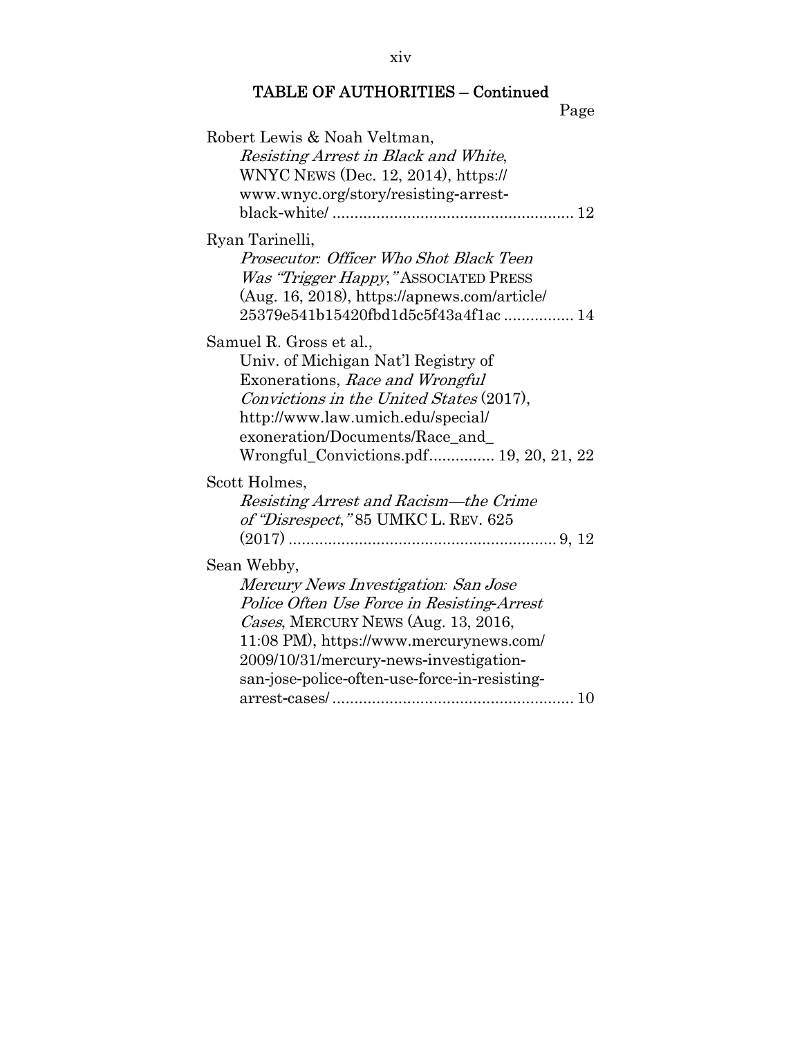xiv

## TABLE OF AUTHORITIES – Continued

| Robert Lewis & Noah Veltman,                  |
|-----------------------------------------------|
| Resisting Arrest in Black and White,          |
| WNYC NEWS (Dec. 12, 2014), https://           |
| www.wnyc.org/story/resisting-arrest-          |
|                                               |
| Ryan Tarinelli,                               |
| Prosecutor: Officer Who Shot Black Teen       |
| <i>Was "Trigger Happy,"</i> ASSOCIATED PRESS  |
| (Aug. 16, 2018), https://apnews.com/article/  |
| 25379e541b15420fbd1d5c5f43a4f1ac 14           |
| Samuel R. Gross et al.,                       |
| Univ. of Michigan Nat'l Registry of           |
| Exonerations, Race and Wrongful               |
| Convictions in the United States (2017),      |
| http://www.law.umich.edu/special/             |
| exoneration/Documents/Race_and_               |
| Wrongful_Convictions.pdf 19, 20, 21, 22       |
| Scott Holmes,                                 |
| Resisting Arrest and Racism-the Crime         |
| of "Disrespect," 85 UMKC L. REV. 625          |
|                                               |
| Sean Webby,                                   |
| Mercury News Investigation: San Jose          |
| Police Often Use Force in Resisting-Arrest    |
| Cases, MERCURY NEWS (Aug. 13, 2016,           |
| 11:08 PM), https://www.mercurynews.com/       |
| 2009/10/31/mercury-news-investigation-        |
| san-jose-police-often-use-force-in-resisting- |
|                                               |
|                                               |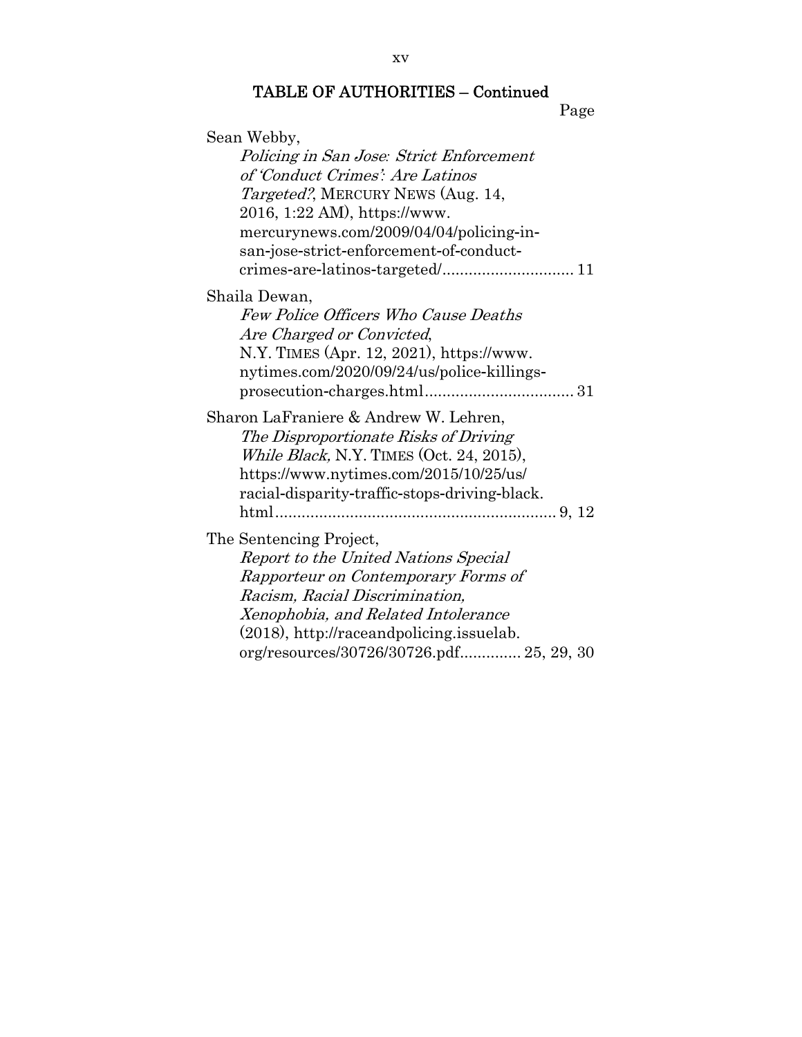| Sean Webby,                                     |
|-------------------------------------------------|
| Policing in San Jose: Strict Enforcement        |
| of Conduct Crimes': Are Latinos                 |
| <i>Targeted?</i> , MERCURY NEWS (Aug. 14,       |
| 2016, 1:22 AM), https://www.                    |
| mercurynews.com/2009/04/04/policing-in-         |
| san-jose-strict-enforcement-of-conduct-         |
|                                                 |
| Shaila Dewan,                                   |
| <b>Few Police Officers Who Cause Deaths</b>     |
| Are Charged or Convicted,                       |
| N.Y. TIMES (Apr. 12, 2021), https://www.        |
| nytimes.com/2020/09/24/us/police-killings-      |
|                                                 |
| Sharon LaFraniere & Andrew W. Lehren,           |
| The Disproportionate Risks of Driving           |
| <i>While Black, N.Y. TIMES (Oct. 24, 2015),</i> |
| https://www.nytimes.com/2015/10/25/us/          |
| racial-disparity-traffic-stops-driving-black.   |
|                                                 |
| The Sentencing Project,                         |
| Report to the United Nations Special            |
| Rapporteur on Contemporary Forms of             |
| Racism, Racial Discrimination,                  |
| Xenophobia, and Related Intolerance             |
| (2018), http://raceandpolicing.issuelab.        |
| org/resources/30726/30726.pdf 25, 29, 30        |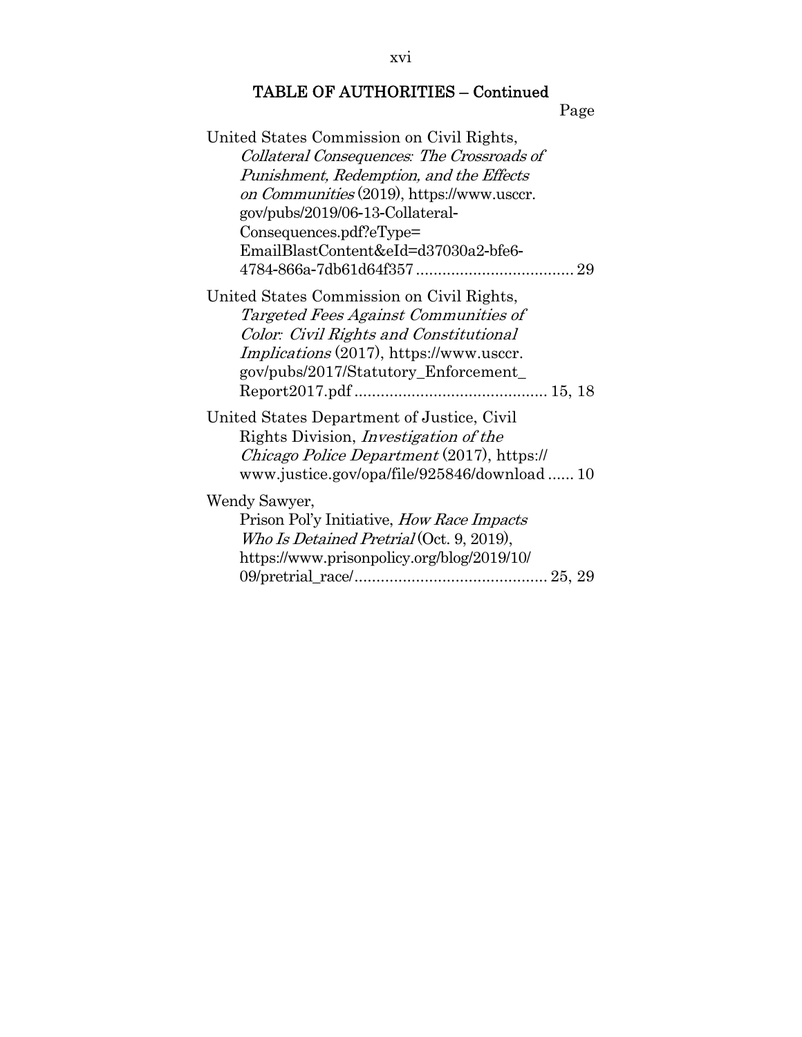| United States Commission on Civil Rights,      |
|------------------------------------------------|
| Collateral Consequences: The Crossroads of     |
| Punishment, Redemption, and the Effects        |
| on Communities (2019), https://www.usccr.      |
| gov/pubs/2019/06-13-Collateral-                |
| Consequences.pdf?eType=                        |
| EmailBlastContent&eId=d37030a2-bfe6-           |
|                                                |
| United States Commission on Civil Rights,      |
| Targeted Fees Against Communities of           |
| Color: Civil Rights and Constitutional         |
| <i>Implications</i> (2017), https://www.usccr. |
| gov/pubs/2017/Statutory_Enforcement_           |
|                                                |
| United States Department of Justice, Civil     |
| Rights Division, <i>Investigation</i> of the   |
| Chicago Police Department (2017), https://     |
| www.justice.gov/opa/file/925846/download10     |
| Wendy Sawyer,                                  |
| Prison Pol'y Initiative, How Race Impacts      |
| Who Is Detained Pretrial (Oct. 9, 2019),       |
| https://www.prisonpolicy.org/blog/2019/10/     |
|                                                |
|                                                |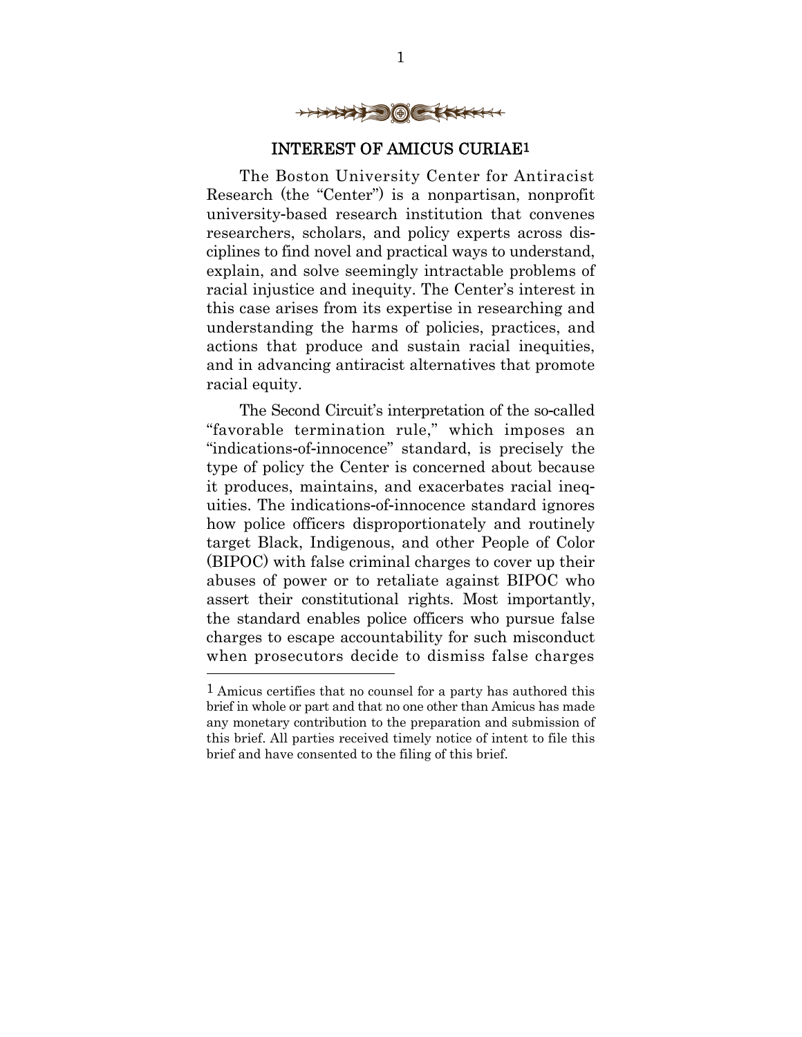

#### INTEREST OF AMICUS CURIAE1

The Boston University Center for Antiracist Research (the "Center") is a nonpartisan, nonprofit university-based research institution that convenes researchers, scholars, and policy experts across disciplines to find novel and practical ways to understand, explain, and solve seemingly intractable problems of racial injustice and inequity. The Center's interest in this case arises from its expertise in researching and understanding the harms of policies, practices, and actions that produce and sustain racial inequities, and in advancing antiracist alternatives that promote racial equity.

The Second Circuit's interpretation of the so-called "favorable termination rule," which imposes an "indications-of-innocence" standard, is precisely the type of policy the Center is concerned about because it produces, maintains, and exacerbates racial inequities. The indications-of-innocence standard ignores how police officers disproportionately and routinely target Black, Indigenous, and other People of Color (BIPOC) with false criminal charges to cover up their abuses of power or to retaliate against BIPOC who assert their constitutional rights. Most importantly, the standard enables police officers who pursue false charges to escape accountability for such misconduct when prosecutors decide to dismiss false charges

 $1$  Amicus certifies that no counsel for a party has authored this brief in whole or part and that no one other than Amicus has made any monetary contribution to the preparation and submission of this brief. All parties received timely notice of intent to file this brief and have consented to the filing of this brief.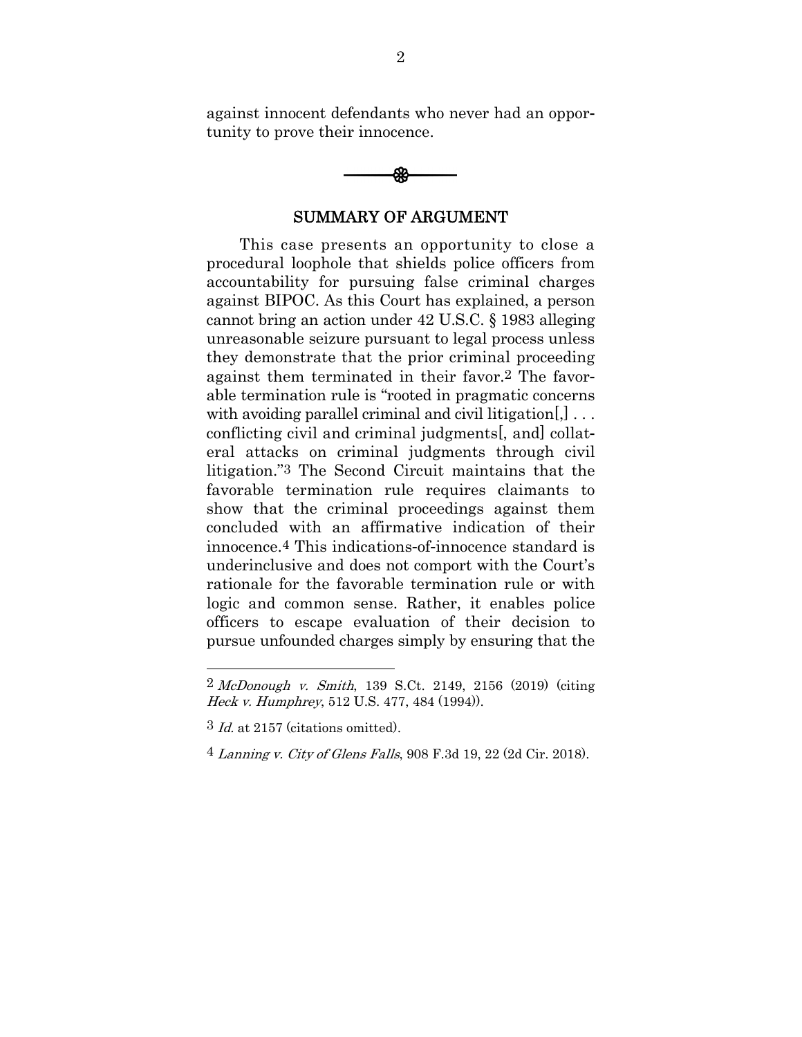against innocent defendants who never had an opportunity to prove their innocence.



#### SUMMARY OF ARGUMENT

This case presents an opportunity to close a procedural loophole that shields police officers from accountability for pursuing false criminal charges against BIPOC. As this Court has explained, a person cannot bring an action under 42 U.S.C. § 1983 alleging unreasonable seizure pursuant to legal process unless they demonstrate that the prior criminal proceeding against them terminated in their favor.2 The favorable termination rule is "rooted in pragmatic concerns with avoiding parallel criminal and civil litigation $[$ ,  $]$ ... conflicting civil and criminal judgments[, and] collateral attacks on criminal judgments through civil litigation."3 The Second Circuit maintains that the favorable termination rule requires claimants to show that the criminal proceedings against them concluded with an affirmative indication of their innocence.4 This indications-of-innocence standard is underinclusive and does not comport with the Court's rationale for the favorable termination rule or with logic and common sense. Rather, it enables police officers to escape evaluation of their decision to pursue unfounded charges simply by ensuring that the

<sup>2</sup> McDonough v. Smith, 139 S.Ct. 2149, 2156 (2019) (citing Heck v. Humphrey, 512 U.S. 477, 484 (1994)).

<sup>3</sup> Id. at 2157 (citations omitted).

<sup>4</sup> Lanning v. City of Glens Falls, 908 F.3d 19, 22 (2d Cir. 2018).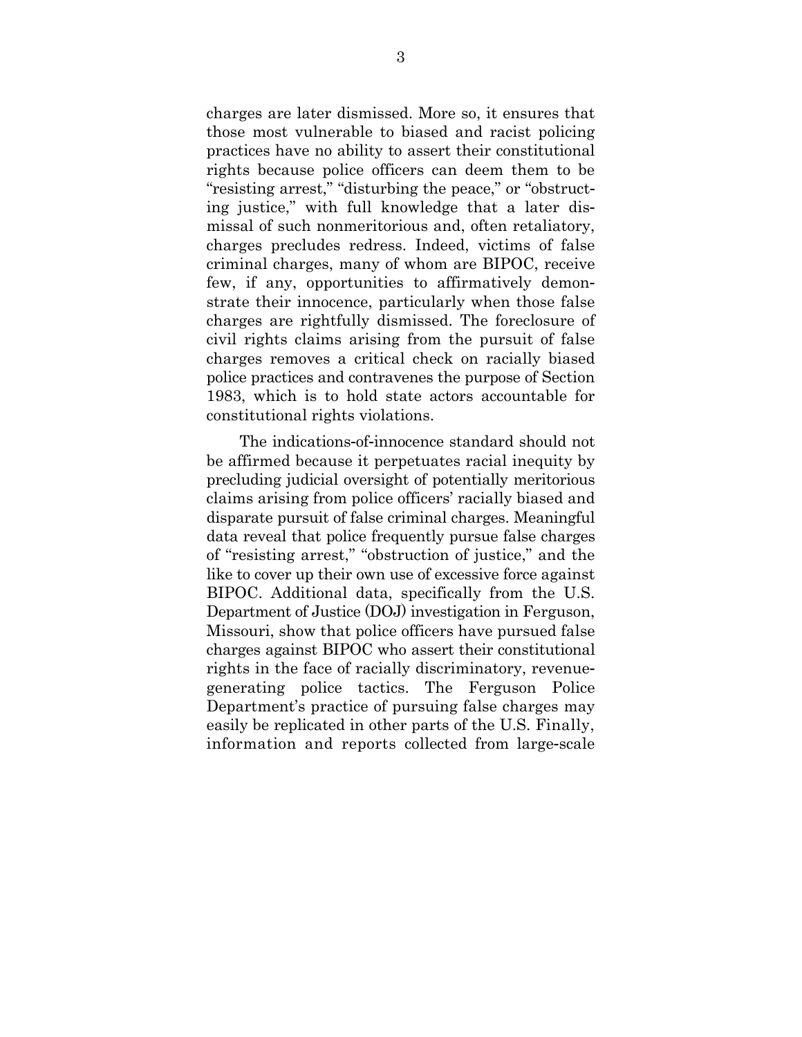charges are later dismissed. More so, it ensures that those most vulnerable to biased and racist policing practices have no ability to assert their constitutional rights because police officers can deem them to be "resisting arrest," "disturbing the peace," or "obstructing justice," with full knowledge that a later dismissal of such nonmeritorious and, often retaliatory, charges precludes redress. Indeed, victims of false criminal charges, many of whom are BIPOC, receive few, if any, opportunities to affirmatively demonstrate their innocence, particularly when those false charges are rightfully dismissed. The foreclosure of civil rights claims arising from the pursuit of false charges removes a critical check on racially biased police practices and contravenes the purpose of Section 1983, which is to hold state actors accountable for constitutional rights violations.

The indications-of-innocence standard should not be affirmed because it perpetuates racial inequity by precluding judicial oversight of potentially meritorious claims arising from police officers' racially biased and disparate pursuit of false criminal charges. Meaningful data reveal that police frequently pursue false charges of "resisting arrest," "obstruction of justice," and the like to cover up their own use of excessive force against BIPOC. Additional data, specifically from the U.S. Department of Justice (DOJ) investigation in Ferguson, Missouri, show that police officers have pursued false charges against BIPOC who assert their constitutional rights in the face of racially discriminatory, revenuegenerating police tactics. The Ferguson Police Department's practice of pursuing false charges may easily be replicated in other parts of the U.S. Finally, information and reports collected from large-scale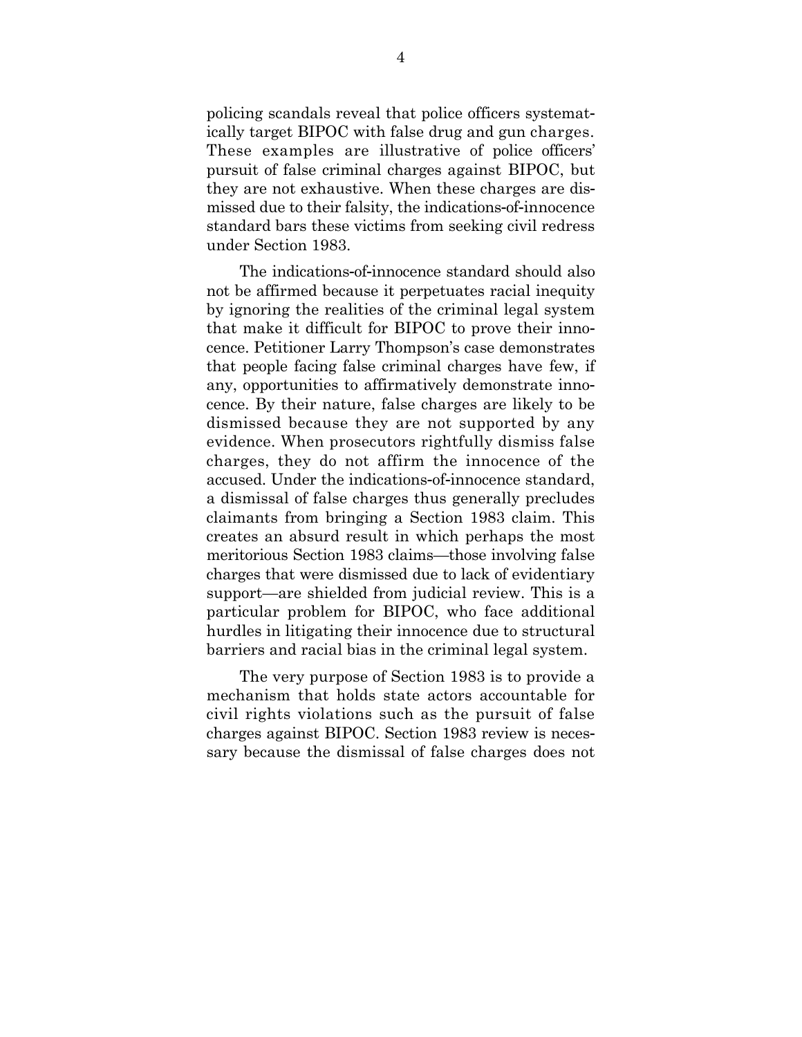policing scandals reveal that police officers systematically target BIPOC with false drug and gun charges. These examples are illustrative of police officers' pursuit of false criminal charges against BIPOC, but they are not exhaustive. When these charges are dismissed due to their falsity, the indications-of-innocence standard bars these victims from seeking civil redress under Section 1983.

The indications-of-innocence standard should also not be affirmed because it perpetuates racial inequity by ignoring the realities of the criminal legal system that make it difficult for BIPOC to prove their innocence. Petitioner Larry Thompson's case demonstrates that people facing false criminal charges have few, if any, opportunities to affirmatively demonstrate innocence. By their nature, false charges are likely to be dismissed because they are not supported by any evidence. When prosecutors rightfully dismiss false charges, they do not affirm the innocence of the accused. Under the indications-of-innocence standard, a dismissal of false charges thus generally precludes claimants from bringing a Section 1983 claim. This creates an absurd result in which perhaps the most meritorious Section 1983 claims—those involving false charges that were dismissed due to lack of evidentiary support—are shielded from judicial review. This is a particular problem for BIPOC, who face additional hurdles in litigating their innocence due to structural barriers and racial bias in the criminal legal system.

The very purpose of Section 1983 is to provide a mechanism that holds state actors accountable for civil rights violations such as the pursuit of false charges against BIPOC. Section 1983 review is necessary because the dismissal of false charges does not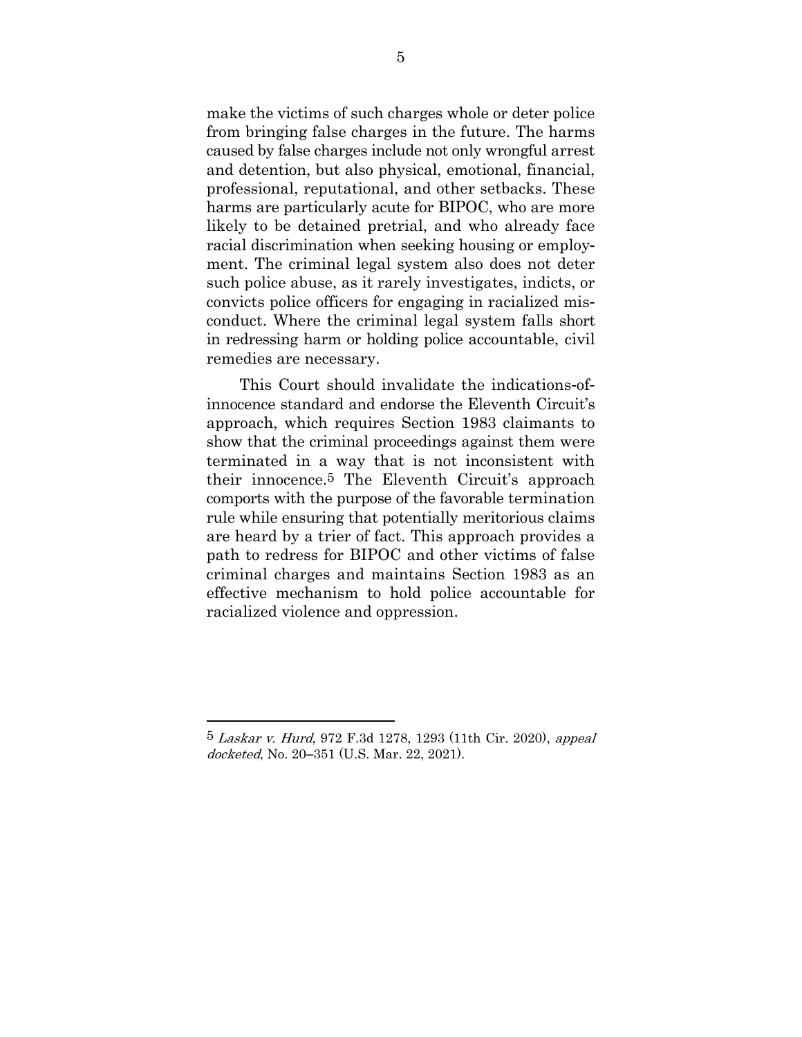make the victims of such charges whole or deter police from bringing false charges in the future. The harms caused by false charges include not only wrongful arrest and detention, but also physical, emotional, financial, professional, reputational, and other setbacks. These harms are particularly acute for BIPOC, who are more likely to be detained pretrial, and who already face racial discrimination when seeking housing or employment. The criminal legal system also does not deter such police abuse, as it rarely investigates, indicts, or convicts police officers for engaging in racialized misconduct. Where the criminal legal system falls short in redressing harm or holding police accountable, civil remedies are necessary.

This Court should invalidate the indications-ofinnocence standard and endorse the Eleventh Circuit's approach, which requires Section 1983 claimants to show that the criminal proceedings against them were terminated in a way that is not inconsistent with their innocence.5 The Eleventh Circuit's approach comports with the purpose of the favorable termination rule while ensuring that potentially meritorious claims are heard by a trier of fact. This approach provides a path to redress for BIPOC and other victims of false criminal charges and maintains Section 1983 as an effective mechanism to hold police accountable for racialized violence and oppression.

<sup>5</sup> Laskar v. Hurd, 972 F.3d 1278, 1293 (11th Cir. 2020), appeal docketed, No. 20–351 (U.S. Mar. 22, 2021).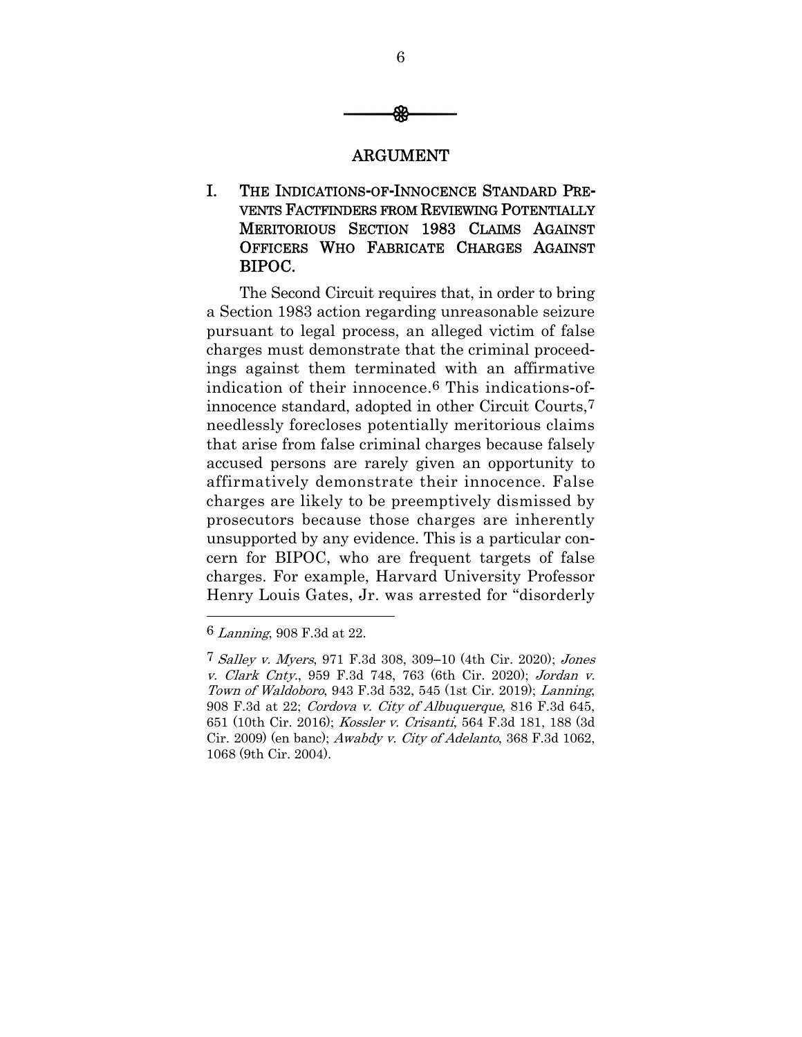

#### ARGUMENT

#### I. THE INDICATIONS**-**OF**-**INNOCENCE STANDARD PRE**-**VENTS FACTFINDERS FROM REVIEWING POTENTIALLY MERITORIOUS SECTION 1983 CLAIMS AGAINST OFFICERS WHO FABRICATE CHARGES AGAINST BIPOC.

The Second Circuit requires that, in order to bring a Section 1983 action regarding unreasonable seizure pursuant to legal process, an alleged victim of false charges must demonstrate that the criminal proceedings against them terminated with an affirmative indication of their innocence.6 This indications-ofinnocence standard, adopted in other Circuit Courts,7 needlessly forecloses potentially meritorious claims that arise from false criminal charges because falsely accused persons are rarely given an opportunity to affirmatively demonstrate their innocence. False charges are likely to be preemptively dismissed by prosecutors because those charges are inherently unsupported by any evidence. This is a particular concern for BIPOC, who are frequent targets of false charges. For example, Harvard University Professor Henry Louis Gates, Jr. was arrested for "disorderly

<sup>6</sup> Lanning, 908 F.3d at 22.

<sup>7</sup> Salley v. Myers, 971 F.3d 308, 309–10 (4th Cir. 2020); Jones v. Clark Cnty., 959 F.3d 748, 763 (6th Cir. 2020); Jordan v. Town of Waldoboro, 943 F.3d 532, 545 (1st Cir. 2019); Lanning, 908 F.3d at 22; Cordova v. City of Albuquerque, 816 F.3d 645, 651 (10th Cir. 2016); Kossler v. Crisanti, 564 F.3d 181, 188 (3d Cir. 2009) (en banc); Awabdy v. City of Adelanto, 368 F.3d 1062, 1068 (9th Cir. 2004).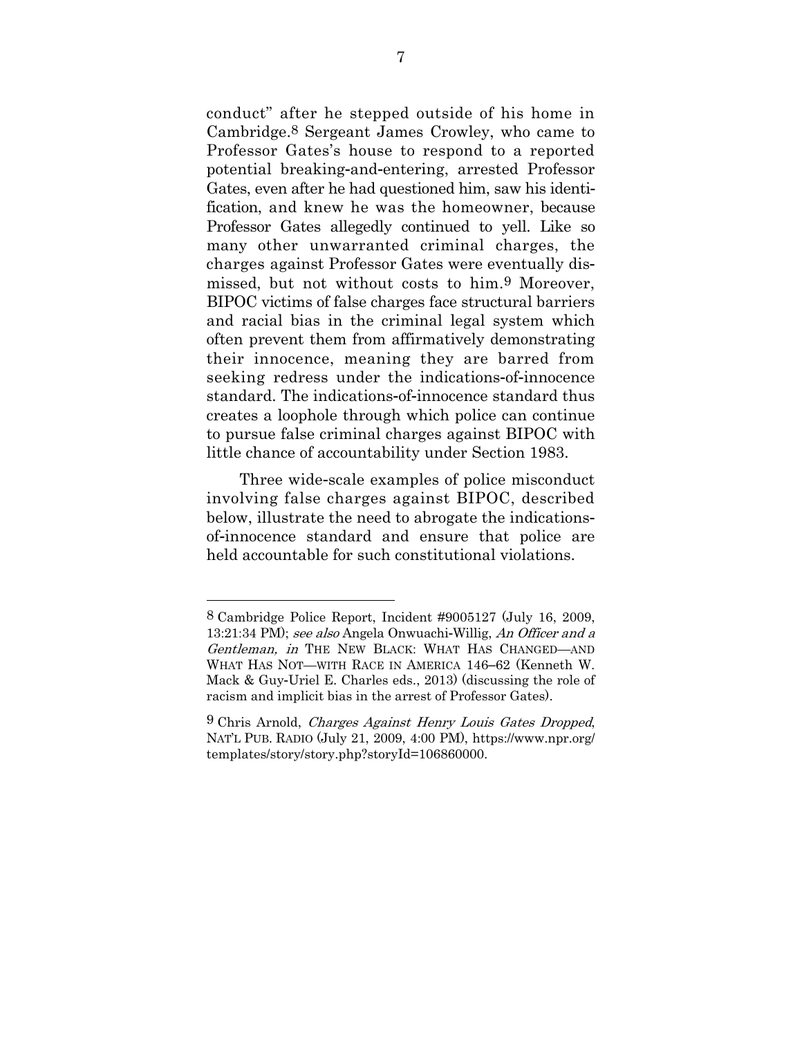conduct" after he stepped outside of his home in Cambridge.8 Sergeant James Crowley, who came to Professor Gates's house to respond to a reported potential breaking-and-entering, arrested Professor Gates, even after he had questioned him, saw his identification, and knew he was the homeowner, because Professor Gates allegedly continued to yell. Like so many other unwarranted criminal charges, the charges against Professor Gates were eventually dismissed, but not without costs to him.9 Moreover, BIPOC victims of false charges face structural barriers and racial bias in the criminal legal system which often prevent them from affirmatively demonstrating their innocence, meaning they are barred from seeking redress under the indications-of-innocence standard. The indications-of-innocence standard thus creates a loophole through which police can continue to pursue false criminal charges against BIPOC with little chance of accountability under Section 1983.

Three wide-scale examples of police misconduct involving false charges against BIPOC, described below, illustrate the need to abrogate the indicationsof-innocence standard and ensure that police are held accountable for such constitutional violations.

<sup>8</sup> Cambridge Police Report, Incident #9005127 (July 16, 2009, 13:21:34 PM); see also Angela Onwuachi-Willig, An Officer and a Gentleman, in THE NEW BLACK: WHAT HAS CHANGED—AND WHAT HAS NOT—WITH RACE IN AMERICA 146–62 (Kenneth W. Mack & Guy-Uriel E. Charles eds., 2013) (discussing the role of racism and implicit bias in the arrest of Professor Gates).

<sup>9</sup> Chris Arnold, Charges Against Henry Louis Gates Dropped, NAT'L PUB. RADIO (July 21, 2009, 4:00 PM), https://www.npr.org/ templates/story/story.php?storyId=106860000.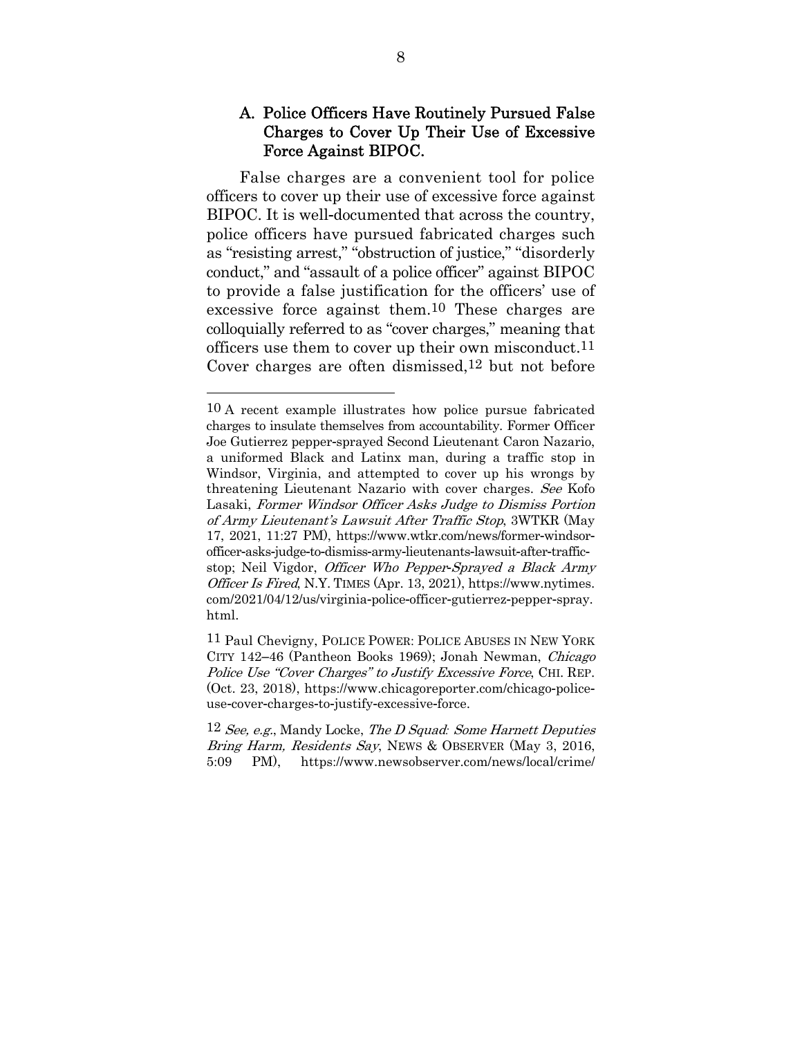#### A. Police Officers Have Routinely Pursued False Charges to Cover Up Their Use of Excessive Force Against BIPOC.

False charges are a convenient tool for police officers to cover up their use of excessive force against BIPOC. It is well-documented that across the country, police officers have pursued fabricated charges such as "resisting arrest," "obstruction of justice," "disorderly conduct," and "assault of a police officer" against BIPOC to provide a false justification for the officers' use of excessive force against them.10 These charges are colloquially referred to as "cover charges," meaning that officers use them to cover up their own misconduct.11 Cover charges are often dismissed,12 but not before

<sup>10</sup> A recent example illustrates how police pursue fabricated charges to insulate themselves from accountability. Former Officer Joe Gutierrez pepper-sprayed Second Lieutenant Caron Nazario, a uniformed Black and Latinx man, during a traffic stop in Windsor, Virginia, and attempted to cover up his wrongs by threatening Lieutenant Nazario with cover charges. See Kofo Lasaki, Former Windsor Officer Asks Judge to Dismiss Portion of Army Lieutenant's Lawsuit After Traffic Stop, 3WTKR (May 17, 2021, 11:27 PM), https://www.wtkr.com/news/former-windsorofficer-asks-judge-to-dismiss-army-lieutenants-lawsuit-after-trafficstop; Neil Vigdor, Officer Who Pepper*-*Sprayed a Black Army Officer Is Fired, N.Y. TIMES (Apr. 13, 2021), https://www.nytimes. com/2021/04/12/us/virginia-police-officer-gutierrez-pepper-spray. html.

<sup>11</sup> Paul Chevigny, POLICE POWER: POLICE ABUSES IN NEW YORK CITY 142–46 (Pantheon Books 1969); Jonah Newman, Chicago Police Use "Cover Charges" to Justify Excessive Force, CHI. REP. (Oct. 23, 2018), https://www.chicagoreporter.com/chicago-policeuse-cover-charges-to-justify-excessive-force.

<sup>12</sup> See, e.g., Mandy Locke, The D Squad*:* Some Harnett Deputies Bring Harm, Residents Say, NEWS & OBSERVER (May 3, 2016, 5:09 PM), https://www.newsobserver.com/news/local/crime/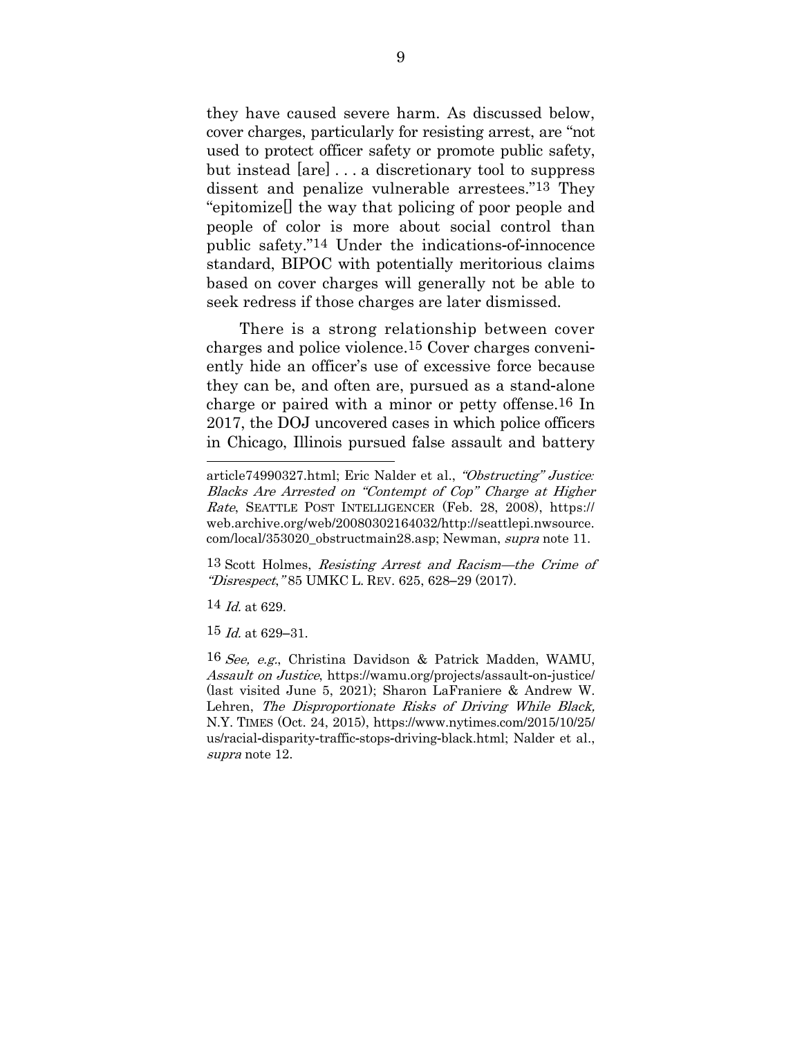they have caused severe harm. As discussed below, cover charges, particularly for resisting arrest, are "not used to protect officer safety or promote public safety, but instead [are] . . . a discretionary tool to suppress dissent and penalize vulnerable arrestees."13 They "epitomize[] the way that policing of poor people and people of color is more about social control than public safety."14 Under the indications-of-innocence standard, BIPOC with potentially meritorious claims based on cover charges will generally not be able to seek redress if those charges are later dismissed.

There is a strong relationship between cover charges and police violence.15 Cover charges conveniently hide an officer's use of excessive force because they can be, and often are, pursued as a stand-alone charge or paired with a minor or petty offense.16 In 2017, the DOJ uncovered cases in which police officers in Chicago, Illinois pursued false assault and battery

13 Scott Holmes, Resisting Arrest and Racism—the Crime of "Disrespect," 85 UMKC L. REV. 625, 628–29 (2017).

14 Id. at 629.

 $\overline{a}$ 

 $15 \; Id$  at 629–31.

article74990327.html; Eric Nalder et al., "Obstructing" Justice*:* Blacks Are Arrested on "Contempt of Cop" Charge at Higher Rate, SEATTLE POST INTELLIGENCER (Feb. 28, 2008), https:// web.archive.org/web/20080302164032/http://seattlepi.nwsource. com/local/353020\_obstructmain28.asp; Newman, supra note 11.

<sup>16</sup> See, e.g., Christina Davidson & Patrick Madden, WAMU, Assault on Justice, https://wamu.org/projects/assault-on-justice/ (last visited June 5, 2021); Sharon LaFraniere & Andrew W. Lehren, The Disproportionate Risks of Driving While Black, N.Y. TIMES (Oct. 24, 2015), https://www.nytimes.com/2015/10/25/ us/racial-disparity-traffic-stops-driving-black.html; Nalder et al., supra note 12.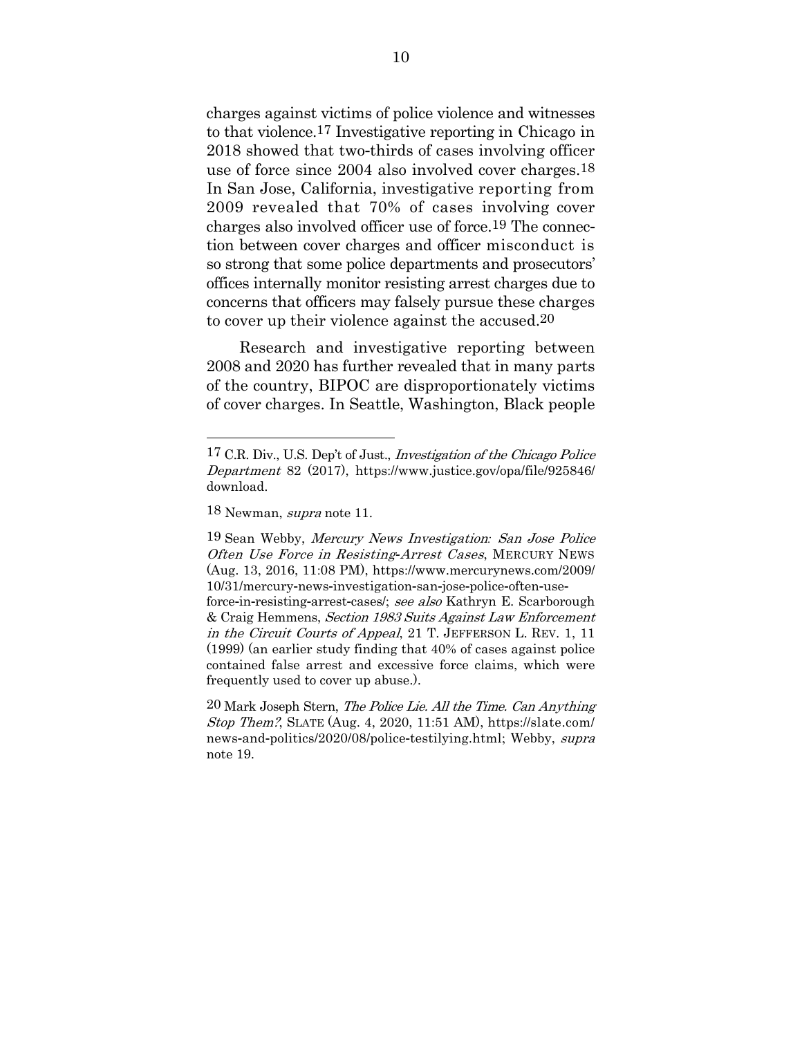charges against victims of police violence and witnesses to that violence.17 Investigative reporting in Chicago in 2018 showed that two-thirds of cases involving officer use of force since 2004 also involved cover charges.18 In San Jose, California, investigative reporting from 2009 revealed that 70% of cases involving cover charges also involved officer use of force.19 The connection between cover charges and officer misconduct is so strong that some police departments and prosecutors' offices internally monitor resisting arrest charges due to concerns that officers may falsely pursue these charges to cover up their violence against the accused.20

Research and investigative reporting between 2008 and 2020 has further revealed that in many parts of the country, BIPOC are disproportionately victims of cover charges. In Seattle, Washington, Black people

18 Newman, *supra* note 11.

<sup>&</sup>lt;sup>17</sup> C.R. Div., U.S. Dep't of Just., *Investigation of the Chicago Police* Department 82 (2017), https://www.justice.gov/opa/file/925846/ download.

<sup>19</sup> Sean Webby, Mercury News Investigation*:* San Jose Police Often Use Force in Resisting*-*Arrest Cases, MERCURY NEWS (Aug. 13, 2016, 11:08 PM), https://www.mercurynews.com/2009/ 10/31/mercury-news-investigation-san-jose-police-often-use-

force-in-resisting-arrest-cases/; see also Kathryn E. Scarborough & Craig Hemmens, Section 1983 Suits Against Law Enforcement in the Circuit Courts of Appeal, 21 T. JEFFERSON L. REV. 1, 11 (1999) (an earlier study finding that 40% of cases against police contained false arrest and excessive force claims, which were frequently used to cover up abuse.).

<sup>20</sup> Mark Joseph Stern, The Police Lie. All the Time. Can Anything Stop Them?, SLATE (Aug. 4, 2020, 11:51 AM), https://slate.com/ news-and-politics/2020/08/police-testilying.html; Webby, supra note 19.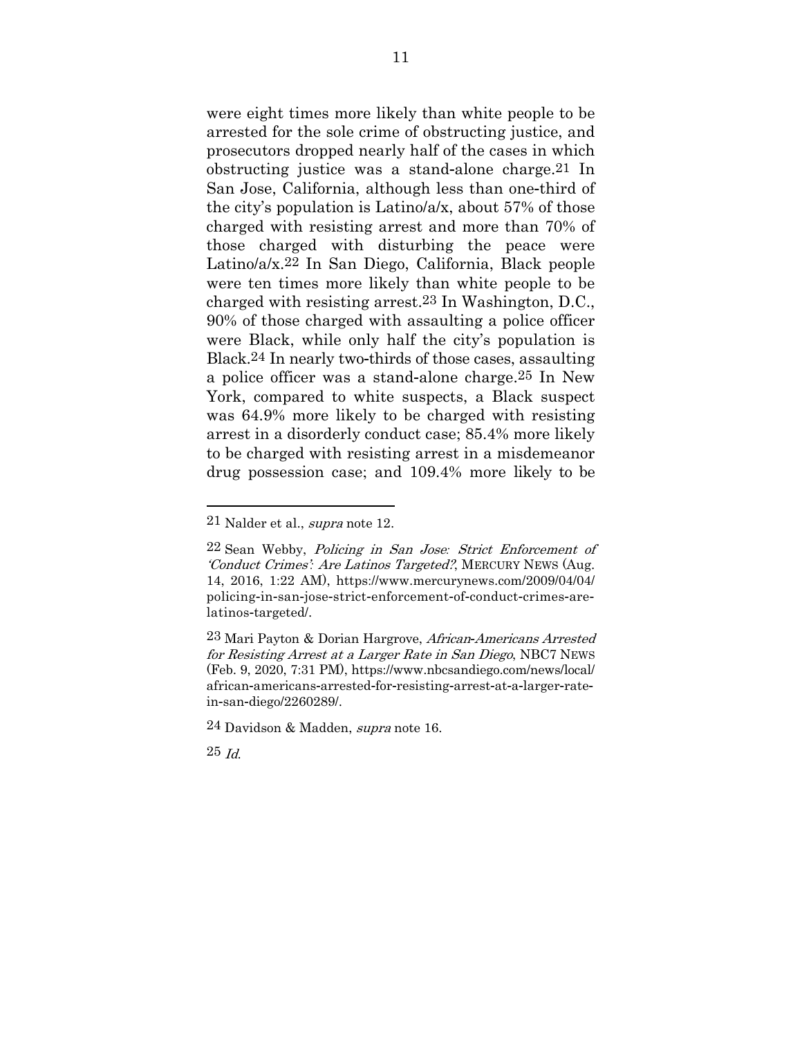were eight times more likely than white people to be arrested for the sole crime of obstructing justice, and prosecutors dropped nearly half of the cases in which obstructing justice was a stand-alone charge.21 In San Jose, California, although less than one-third of the city's population is Latino/a/x, about 57% of those charged with resisting arrest and more than 70% of those charged with disturbing the peace were Latino/a/x.22 In San Diego, California, Black people were ten times more likely than white people to be charged with resisting arrest.23 In Washington, D.C., 90% of those charged with assaulting a police officer were Black, while only half the city's population is Black.24 In nearly two-thirds of those cases, assaulting a police officer was a stand-alone charge.25 In New York, compared to white suspects, a Black suspect was 64.9% more likely to be charged with resisting arrest in a disorderly conduct case; 85.4% more likely to be charged with resisting arrest in a misdemeanor drug possession case; and 109.4% more likely to be

24 Davidson & Madden, *supra* note 16.

 $25$  *Id.* 

 $21$  Nalder et al., *supra* note 12.

<sup>22</sup> Sean Webby, Policing in San Jose*:* Strict Enforcement of 'Conduct Crimes'*:* Are Latinos Targeted?, MERCURY NEWS (Aug. 14, 2016, 1:22 AM), https://www.mercurynews.com/2009/04/04/ policing-in-san-jose-strict-enforcement-of-conduct-crimes-arelatinos-targeted/.

<sup>23</sup> Mari Payton & Dorian Hargrove, African*-*Americans Arrested for Resisting Arrest at a Larger Rate in San Diego, NBC7 NEWS (Feb. 9, 2020, 7:31 PM), https://www.nbcsandiego.com/news/local/ african-americans-arrested-for-resisting-arrest-at-a-larger-ratein-san-diego/2260289/.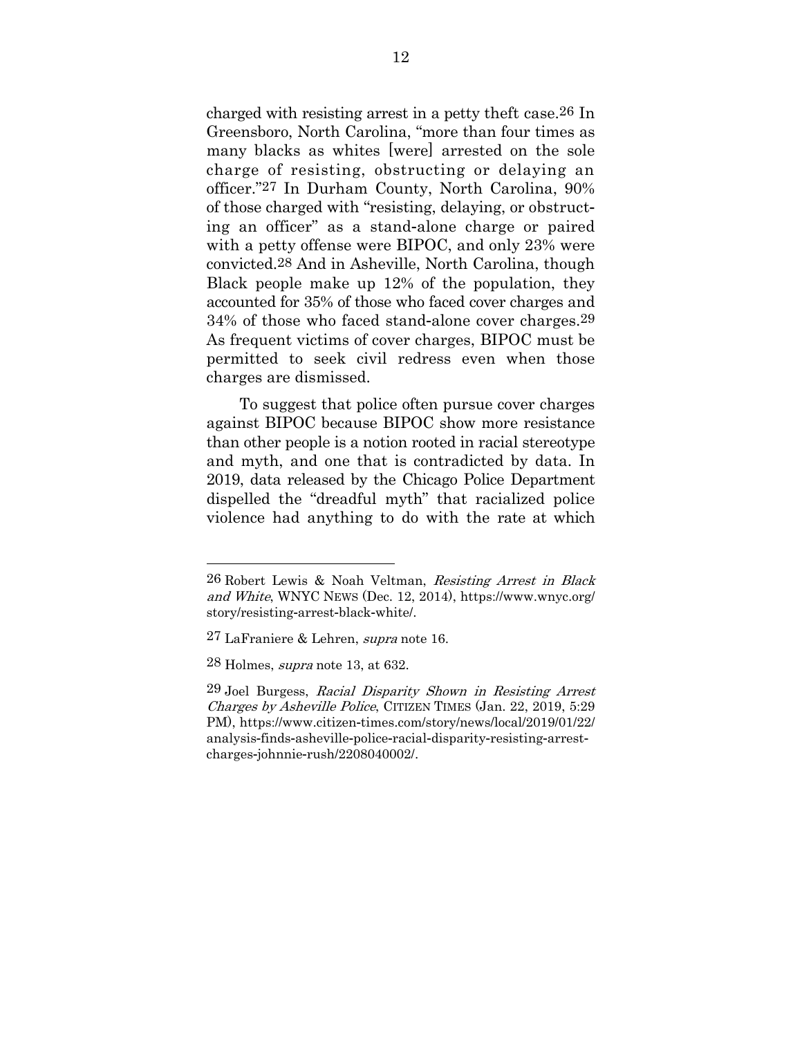charged with resisting arrest in a petty theft case.26 In Greensboro, North Carolina, "more than four times as many blacks as whites [were] arrested on the sole charge of resisting, obstructing or delaying an officer."27 In Durham County, North Carolina, 90% of those charged with "resisting, delaying, or obstructing an officer" as a stand-alone charge or paired with a petty offense were BIPOC, and only 23% were convicted.28 And in Asheville, North Carolina, though Black people make up 12% of the population, they accounted for 35% of those who faced cover charges and 34% of those who faced stand-alone cover charges.29 As frequent victims of cover charges, BIPOC must be permitted to seek civil redress even when those charges are dismissed.

To suggest that police often pursue cover charges against BIPOC because BIPOC show more resistance than other people is a notion rooted in racial stereotype and myth, and one that is contradicted by data. In 2019, data released by the Chicago Police Department dispelled the "dreadful myth" that racialized police violence had anything to do with the rate at which

<sup>26</sup> Robert Lewis & Noah Veltman, Resisting Arrest in Black and White, WNYC NEWS (Dec. 12, 2014), https://www.wnyc.org/ story/resisting-arrest-black-white/.

<sup>27</sup> LaFraniere & Lehren, supra note 16.

<sup>28</sup> Holmes, *supra* note 13, at 632.

<sup>29</sup> Joel Burgess, Racial Disparity Shown in Resisting Arrest Charges by Asheville Police, CITIZEN TIMES (Jan. 22, 2019, 5:29 PM), https://www.citizen-times.com/story/news/local/2019/01/22/ analysis-finds-asheville-police-racial-disparity-resisting-arrestcharges-johnnie-rush/2208040002/.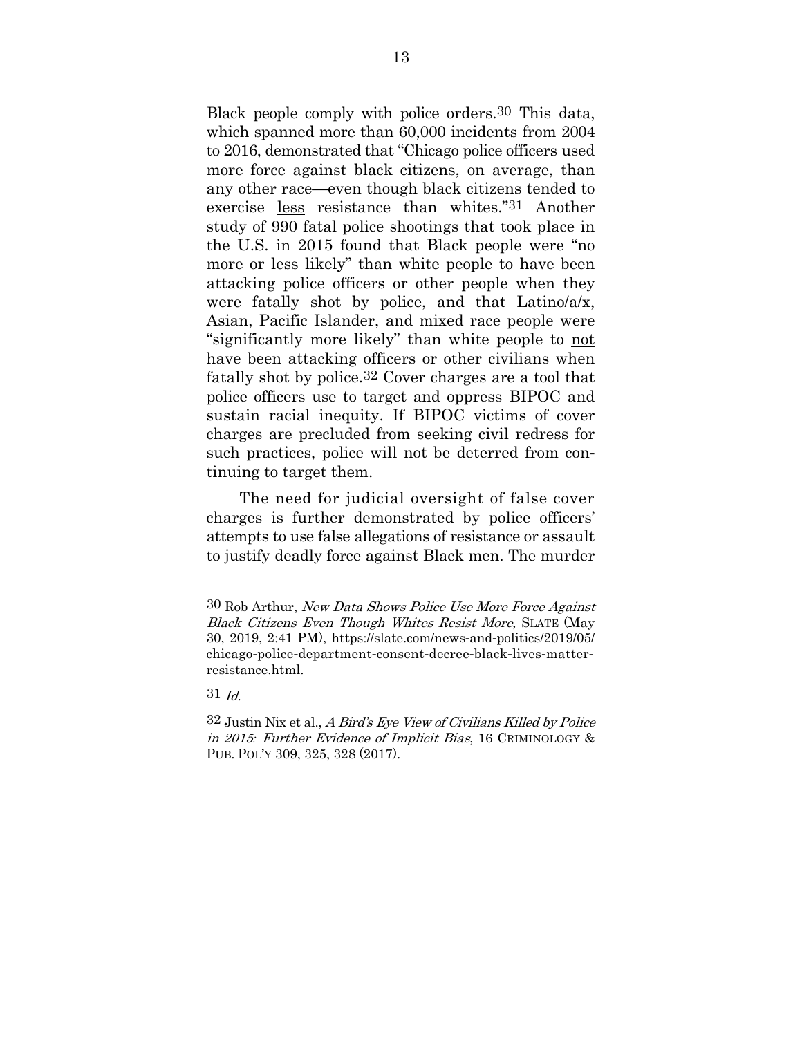Black people comply with police orders.30 This data, which spanned more than 60,000 incidents from 2004 to 2016, demonstrated that "Chicago police officers used more force against black citizens, on average, than any other race—even though black citizens tended to exercise less resistance than whites."31 Another study of 990 fatal police shootings that took place in the U.S. in 2015 found that Black people were "no more or less likely" than white people to have been attacking police officers or other people when they were fatally shot by police, and that Latino/a/x, Asian, Pacific Islander, and mixed race people were "significantly more likely" than white people to not have been attacking officers or other civilians when fatally shot by police.32 Cover charges are a tool that police officers use to target and oppress BIPOC and sustain racial inequity. If BIPOC victims of cover charges are precluded from seeking civil redress for such practices, police will not be deterred from continuing to target them.

The need for judicial oversight of false cover charges is further demonstrated by police officers' attempts to use false allegations of resistance or assault to justify deadly force against Black men. The murder

31 Id.

<sup>30</sup> Rob Arthur, New Data Shows Police Use More Force Against Black Citizens Even Though Whites Resist More, SLATE (May 30, 2019, 2:41 PM), https://slate.com/news-and-politics/2019/05/ chicago-police-department-consent-decree-black-lives-matterresistance.html.

<sup>32</sup> Justin Nix et al., A Bird's Eye View of Civilians Killed by Police in 2015*:* Further Evidence of Implicit Bias, 16 CRIMINOLOGY & PUB. POL'Y 309, 325, 328 (2017).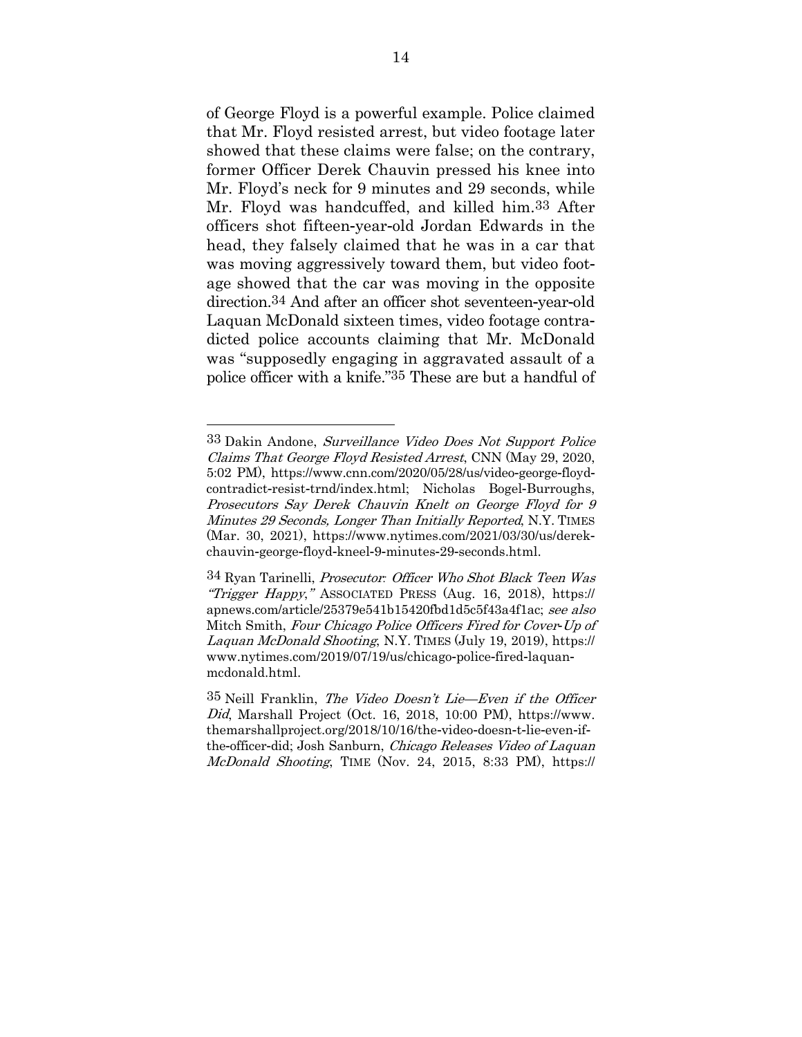of George Floyd is a powerful example. Police claimed that Mr. Floyd resisted arrest, but video footage later showed that these claims were false; on the contrary, former Officer Derek Chauvin pressed his knee into Mr. Floyd's neck for 9 minutes and 29 seconds, while Mr. Floyd was handcuffed, and killed him.33 After officers shot fifteen-year-old Jordan Edwards in the head, they falsely claimed that he was in a car that was moving aggressively toward them, but video footage showed that the car was moving in the opposite direction.34 And after an officer shot seventeen-year-old Laquan McDonald sixteen times, video footage contradicted police accounts claiming that Mr. McDonald was "supposedly engaging in aggravated assault of a police officer with a knife."35 These are but a handful of

<sup>33</sup> Dakin Andone, Surveillance Video Does Not Support Police Claims That George Floyd Resisted Arrest, CNN (May 29, 2020, 5:02 PM), https://www.cnn.com/2020/05/28/us/video-george-floydcontradict-resist-trnd/index.html; Nicholas Bogel-Burroughs, Prosecutors Say Derek Chauvin Knelt on George Floyd for 9 Minutes 29 Seconds, Longer Than Initially Reported, N.Y. TIMES (Mar. 30, 2021), https://www.nytimes.com/2021/03/30/us/derekchauvin-george-floyd-kneel-9-minutes-29-seconds.html.

<sup>34</sup> Ryan Tarinelli, Prosecutor*:* Officer Who Shot Black Teen Was "Trigger Happy," ASSOCIATED PRESS (Aug. 16, 2018), https:// apnews.com/article/25379e541b15420fbd1d5c5f43a4f1ac; see also Mitch Smith, Four Chicago Police Officers Fired for Cover*-*Up of Laquan McDonald Shooting, N.Y. TIMES (July 19, 2019), https:// www.nytimes.com/2019/07/19/us/chicago-police-fired-laquanmcdonald.html.

<sup>35</sup> Neill Franklin, The Video Doesn't Lie—Even if the Officer Did, Marshall Project (Oct. 16, 2018, 10:00 PM), https://www. themarshallproject.org/2018/10/16/the-video-doesn-t-lie-even-ifthe-officer-did; Josh Sanburn, Chicago Releases Video of Laquan McDonald Shooting, TIME (Nov. 24, 2015, 8:33 PM), https://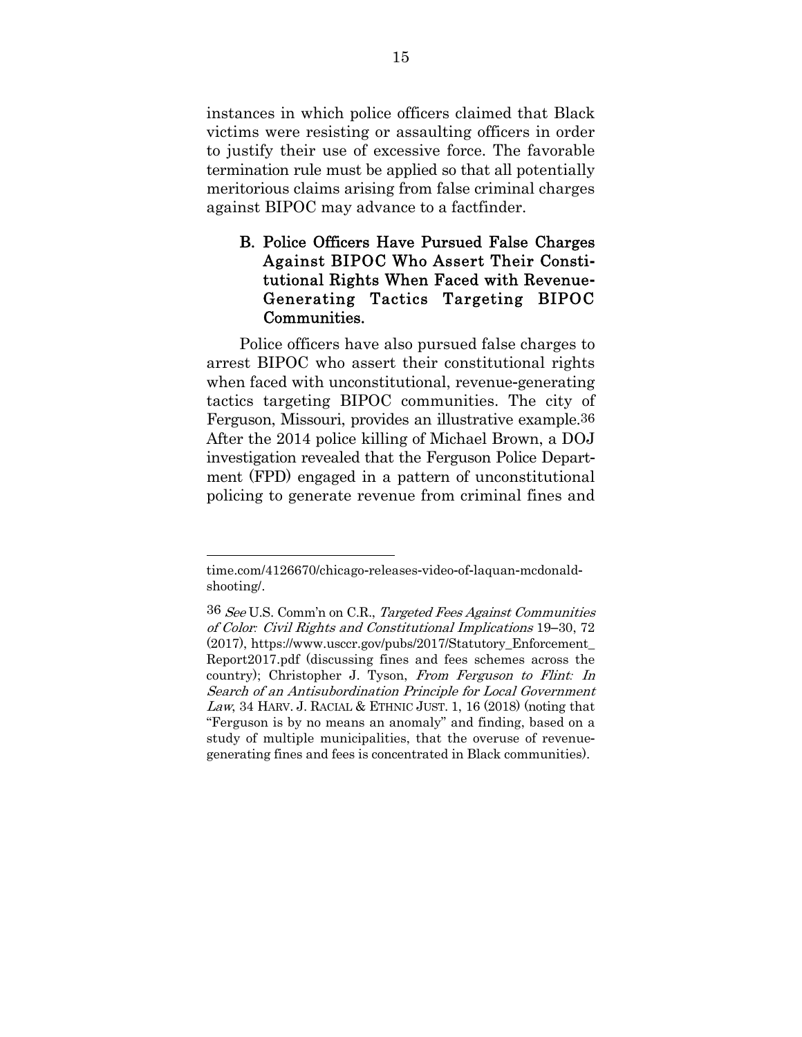instances in which police officers claimed that Black victims were resisting or assaulting officers in order to justify their use of excessive force. The favorable termination rule must be applied so that all potentially meritorious claims arising from false criminal charges against BIPOC may advance to a factfinder.

#### B. Police Officers Have Pursued False Charges Against BIPOC Who Assert Their Constitutional Rights When Faced with Revenue**-**Generating Tactics Targeting BIPOC Communities.

Police officers have also pursued false charges to arrest BIPOC who assert their constitutional rights when faced with unconstitutional, revenue-generating tactics targeting BIPOC communities. The city of Ferguson, Missouri, provides an illustrative example.36 After the 2014 police killing of Michael Brown, a DOJ investigation revealed that the Ferguson Police Department (FPD) engaged in a pattern of unconstitutional policing to generate revenue from criminal fines and

time.com/4126670/chicago-releases-video-of-laquan-mcdonaldshooting/.

<sup>36</sup> See U.S. Comm'n on C.R., Targeted Fees Against Communities of Color*:* Civil Rights and Constitutional Implications 19–30, 72 (2017), https://www.usccr.gov/pubs/2017/Statutory\_Enforcement\_ Report2017.pdf (discussing fines and fees schemes across the country); Christopher J. Tyson, From Ferguson to Flint*:* In Search of an Antisubordination Principle for Local Government Law, 34 HARV. J. RACIAL & ETHNIC JUST. 1, 16 (2018) (noting that "Ferguson is by no means an anomaly" and finding, based on a study of multiple municipalities, that the overuse of revenuegenerating fines and fees is concentrated in Black communities).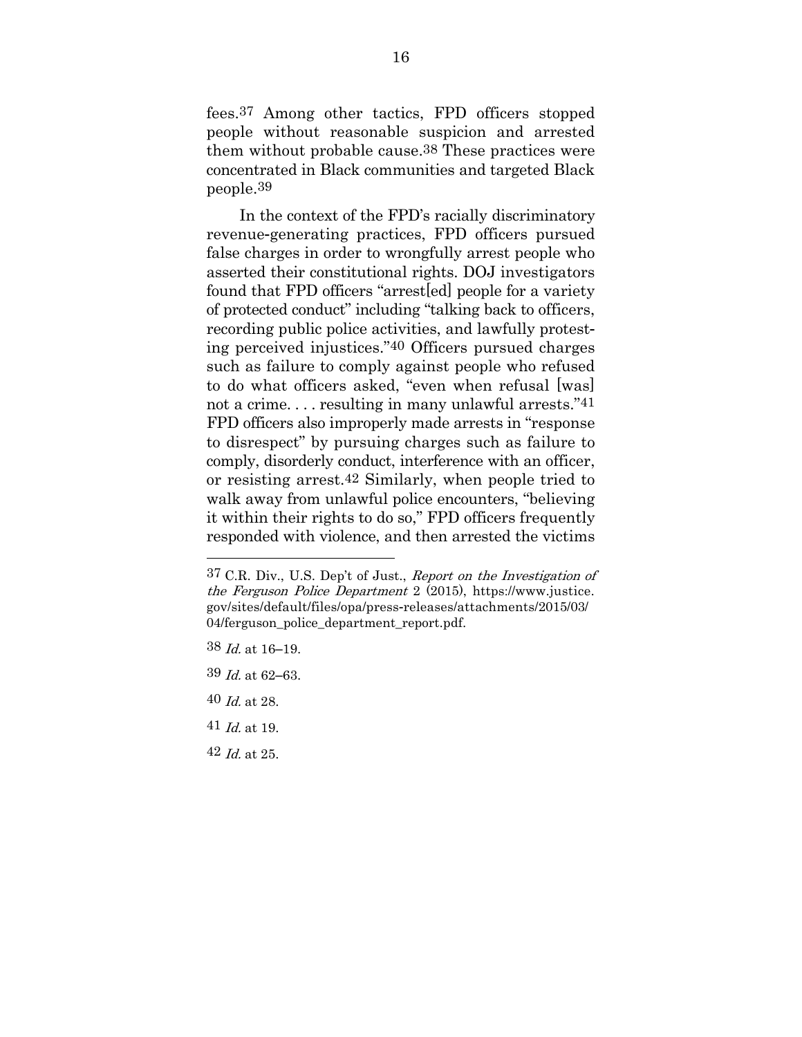fees.37 Among other tactics, FPD officers stopped people without reasonable suspicion and arrested them without probable cause.38 These practices were concentrated in Black communities and targeted Black people.39

In the context of the FPD's racially discriminatory revenue-generating practices, FPD officers pursued false charges in order to wrongfully arrest people who asserted their constitutional rights. DOJ investigators found that FPD officers "arrest[ed] people for a variety of protected conduct" including "talking back to officers, recording public police activities, and lawfully protesting perceived injustices."40 Officers pursued charges such as failure to comply against people who refused to do what officers asked, "even when refusal [was] not a crime. . . . resulting in many unlawful arrests."41 FPD officers also improperly made arrests in "response to disrespect" by pursuing charges such as failure to comply, disorderly conduct, interference with an officer, or resisting arrest.42 Similarly, when people tried to walk away from unlawful police encounters, "believing it within their rights to do so," FPD officers frequently responded with violence, and then arrested the victims

- 38 Id. at 16–19.
- 39 Id. at 62–63.
- 40 Id. at 28.

- 41  $Id.$  at 19.
- $42$  *Id.* at 25.

<sup>37</sup> C.R. Div., U.S. Dep't of Just., Report on the Investigation of the Ferguson Police Department 2 (2015), https://www.justice. gov/sites/default/files/opa/press-releases/attachments/2015/03/ 04/ferguson police department report.pdf.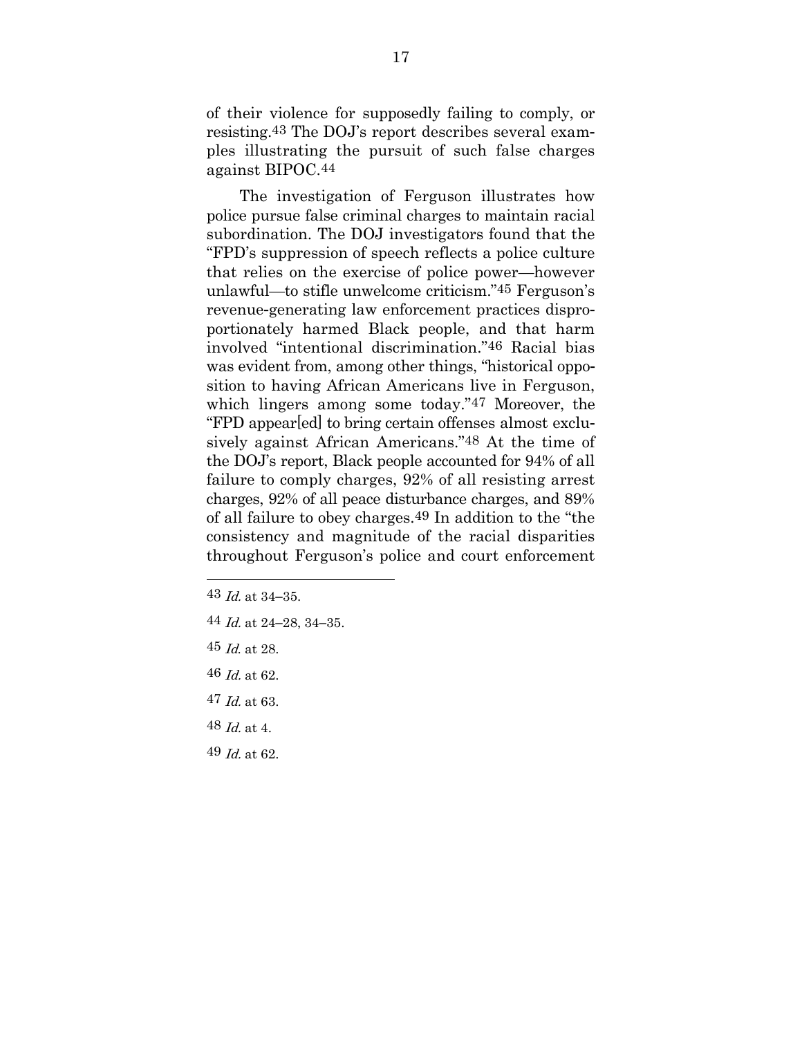of their violence for supposedly failing to comply, or resisting.43 The DOJ's report describes several examples illustrating the pursuit of such false charges against BIPOC.44

The investigation of Ferguson illustrates how police pursue false criminal charges to maintain racial subordination. The DOJ investigators found that the "FPD's suppression of speech reflects a police culture that relies on the exercise of police power—however unlawful—to stifle unwelcome criticism."45 Ferguson's revenue-generating law enforcement practices disproportionately harmed Black people, and that harm involved "intentional discrimination."46 Racial bias was evident from, among other things, "historical opposition to having African Americans live in Ferguson, which lingers among some today."47 Moreover, the "FPD appear[ed] to bring certain offenses almost exclusively against African Americans."48 At the time of the DOJ's report, Black people accounted for 94% of all failure to comply charges, 92% of all resisting arrest charges, 92% of all peace disturbance charges, and 89% of all failure to obey charges.49 In addition to the "the consistency and magnitude of the racial disparities throughout Ferguson's police and court enforcement

- $44$  *Id.* at 24–28, 34–35.
- 45 Id. at 28.

- 46 Id. at 62.
- $47$  *Id.* at 63.
- 48 Id. at 4.
- $49$  *Id.* at 62.

<sup>43</sup> Id. at 34–35.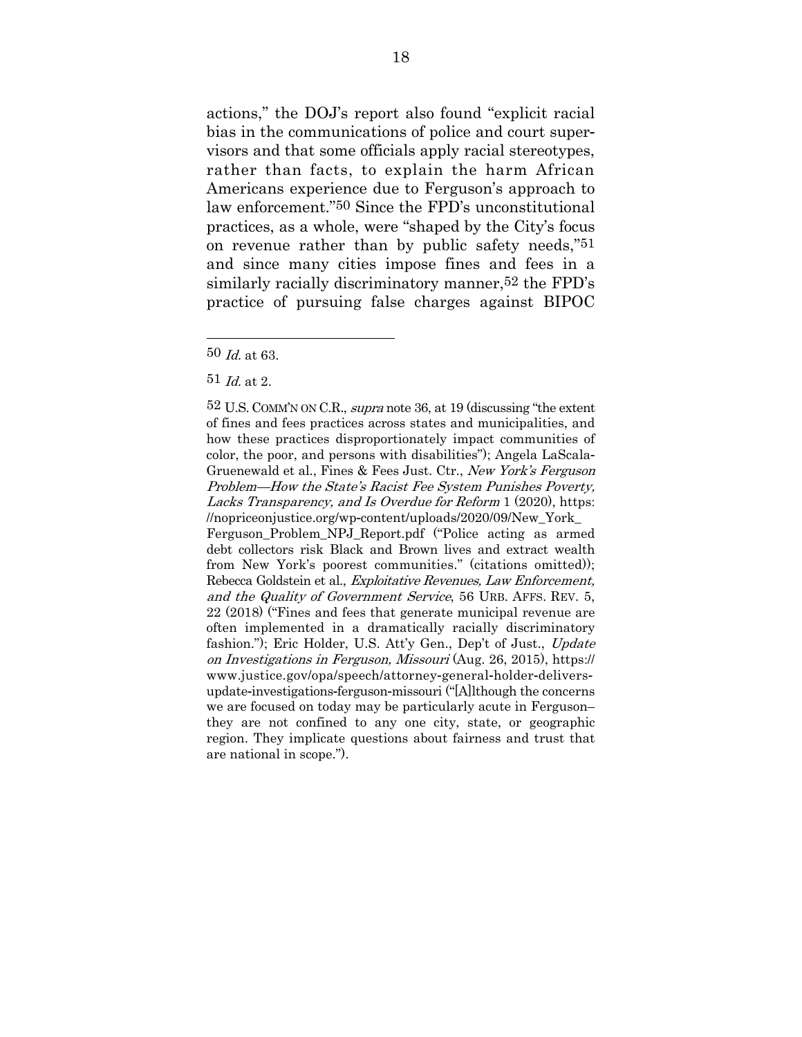actions," the DOJ's report also found "explicit racial bias in the communications of police and court supervisors and that some officials apply racial stereotypes, rather than facts, to explain the harm African Americans experience due to Ferguson's approach to law enforcement."50 Since the FPD's unconstitutional practices, as a whole, were "shaped by the City's focus on revenue rather than by public safety needs,"51 and since many cities impose fines and fees in a similarly racially discriminatory manner,<sup>52</sup> the FPD's practice of pursuing false charges against BIPOC

 $\overline{a}$ 

52 U.S. COMM'N ON C.R., supra note 36, at 19 (discussing "the extent of fines and fees practices across states and municipalities, and how these practices disproportionately impact communities of color, the poor, and persons with disabilities"); Angela LaScala-Gruenewald et al., Fines & Fees Just. Ctr., New York's Ferguson Problem—How the State's Racist Fee System Punishes Poverty, Lacks Transparency, and Is Overdue for Reform 1 (2020), https: //nopriceonjustice.org/wp-content/uploads/2020/09/New\_York\_ Ferguson\_Problem\_NPJ\_Report.pdf ("Police acting as armed debt collectors risk Black and Brown lives and extract wealth from New York's poorest communities." (citations omitted)); Rebecca Goldstein et al., Exploitative Revenues, Law Enforcement, and the Quality of Government Service, 56 URB. AFFS. REV. 5, 22 (2018) ("Fines and fees that generate municipal revenue are often implemented in a dramatically racially discriminatory fashion."); Eric Holder, U.S. Att'y Gen., Dep't of Just., Update on Investigations in Ferguson, Missouri (Aug. 26, 2015), https://

www.justice.gov/opa/speech/attorney-general-holder-deliversupdate-investigations-ferguson-missouri ("[A]lthough the concerns we are focused on today may be particularly acute in Ferguson– they are not confined to any one city, state, or geographic region. They implicate questions about fairness and trust that are national in scope.").

 $50$  *Id* at 63.

 $51$  *Id.* at 2.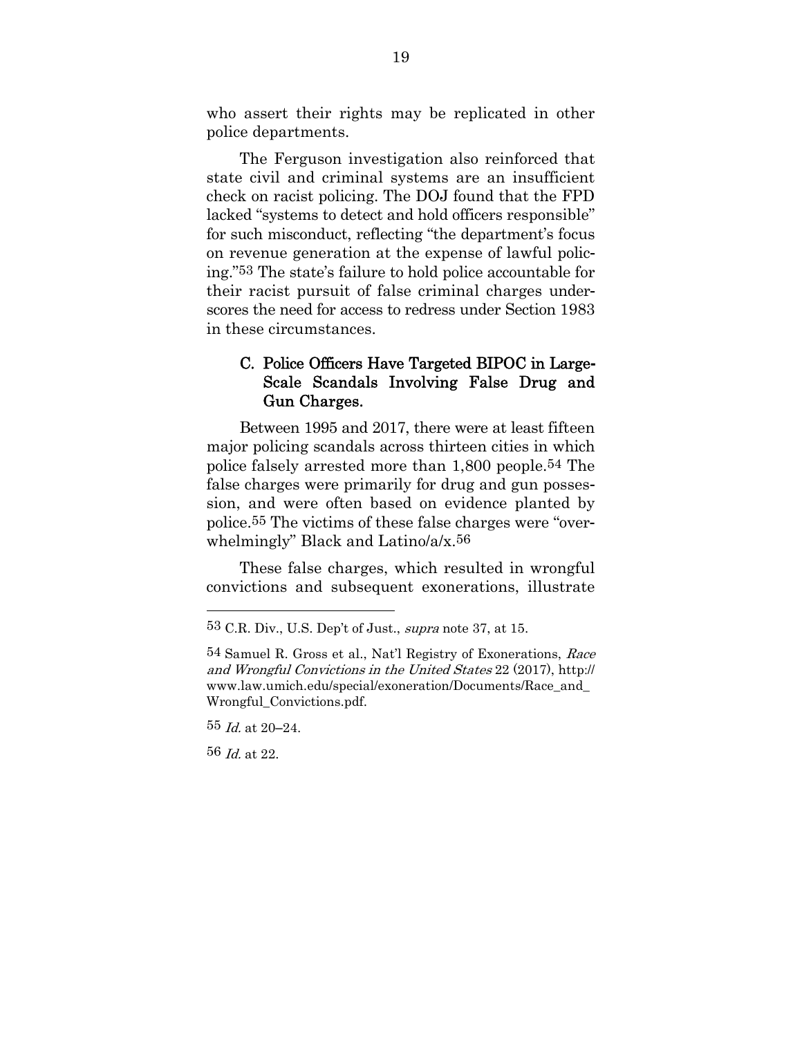who assert their rights may be replicated in other police departments.

The Ferguson investigation also reinforced that state civil and criminal systems are an insufficient check on racist policing. The DOJ found that the FPD lacked "systems to detect and hold officers responsible" for such misconduct, reflecting "the department's focus on revenue generation at the expense of lawful policing."53 The state's failure to hold police accountable for their racist pursuit of false criminal charges underscores the need for access to redress under Section 1983 in these circumstances.

#### C. Police Officers Have Targeted BIPOC in Large**-**Scale Scandals Involving False Drug and Gun Charges.

Between 1995 and 2017, there were at least fifteen major policing scandals across thirteen cities in which police falsely arrested more than 1,800 people.54 The false charges were primarily for drug and gun possession, and were often based on evidence planted by police.55 The victims of these false charges were "overwhelmingly" Black and Latino/a/x.56

These false charges, which resulted in wrongful convictions and subsequent exonerations, illustrate

<sup>53</sup> C.R. Div., U.S. Dep't of Just., supra note 37, at 15.

<sup>54</sup> Samuel R. Gross et al., Nat'l Registry of Exonerations, Race and Wrongful Convictions in the United States 22 (2017), http:// www.law.umich.edu/special/exoneration/Documents/Race\_and\_ Wrongful\_Convictions.pdf.

<sup>55</sup> Id. at 20–24.

<sup>56</sup> Id. at 22.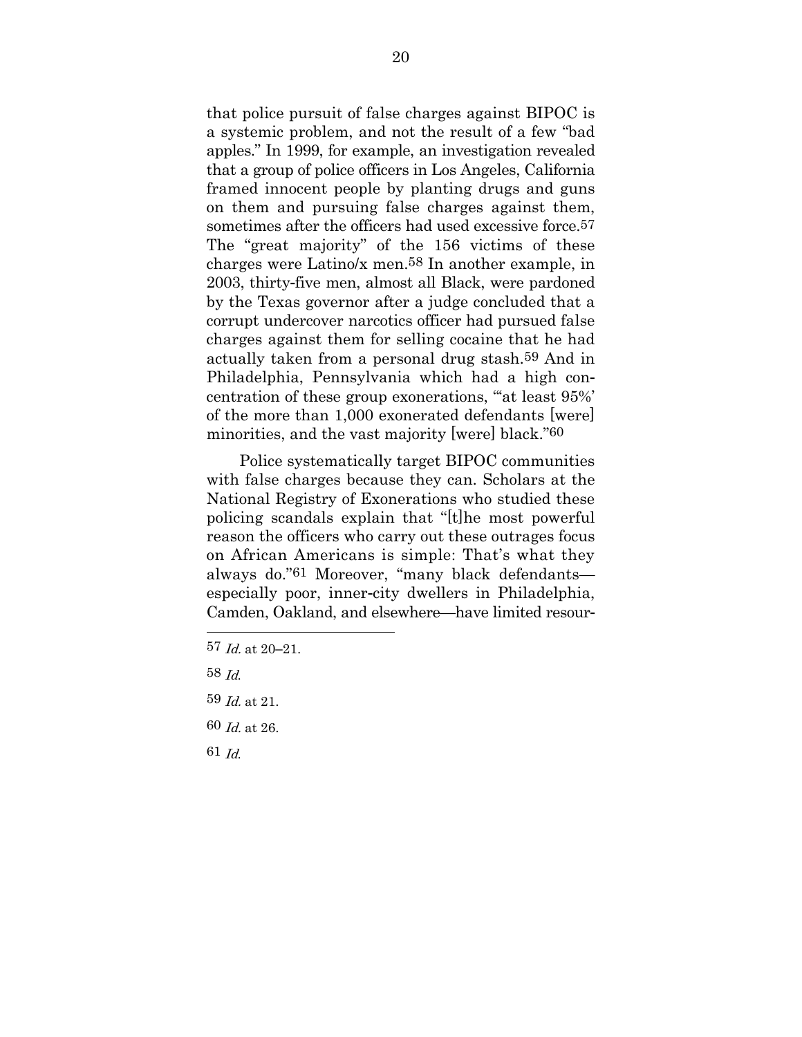that police pursuit of false charges against BIPOC is a systemic problem, and not the result of a few "bad apples." In 1999, for example, an investigation revealed that a group of police officers in Los Angeles, California framed innocent people by planting drugs and guns on them and pursuing false charges against them, sometimes after the officers had used excessive force.<sup>57</sup> The "great majority" of the 156 victims of these charges were Latino/x men.58 In another example, in 2003, thirty-five men, almost all Black, were pardoned by the Texas governor after a judge concluded that a corrupt undercover narcotics officer had pursued false charges against them for selling cocaine that he had actually taken from a personal drug stash.59 And in Philadelphia, Pennsylvania which had a high concentration of these group exonerations, "'at least 95%' of the more than 1,000 exonerated defendants [were] minorities, and the vast majority [were] black."60

Police systematically target BIPOC communities with false charges because they can. Scholars at the National Registry of Exonerations who studied these policing scandals explain that "[t]he most powerful reason the officers who carry out these outrages focus on African Americans is simple: That's what they always do."61 Moreover, "many black defendants especially poor, inner-city dwellers in Philadelphia, Camden, Oakland, and elsewhere—have limited resour-

58 Id.

- 59 Id. at 21.
- 60 Id. at 26.
- 61 Id.

 $57$  *Id.* at 20–21.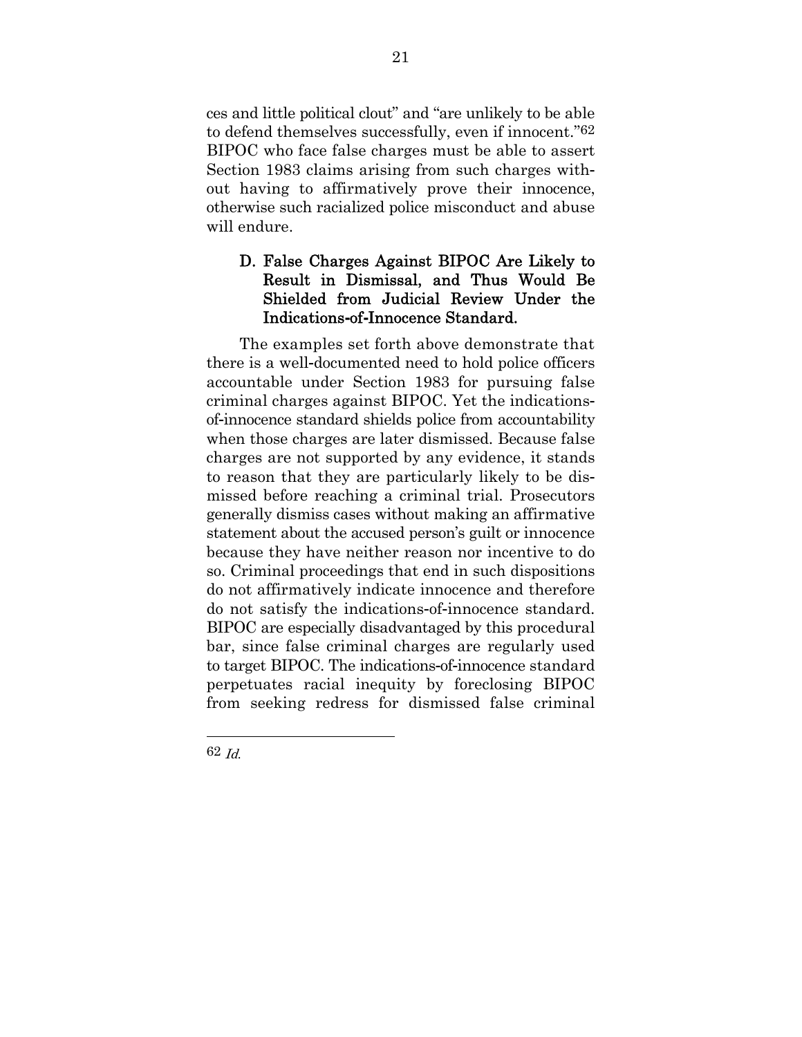ces and little political clout" and "are unlikely to be able to defend themselves successfully, even if innocent."62 BIPOC who face false charges must be able to assert Section 1983 claims arising from such charges without having to affirmatively prove their innocence, otherwise such racialized police misconduct and abuse will endure.

#### D. False Charges Against BIPOC Are Likely to Result in Dismissal, and Thus Would Be Shielded from Judicial Review Under the Indications**-**of**-**Innocence Standard.

The examples set forth above demonstrate that there is a well-documented need to hold police officers accountable under Section 1983 for pursuing false criminal charges against BIPOC. Yet the indicationsof-innocence standard shields police from accountability when those charges are later dismissed. Because false charges are not supported by any evidence, it stands to reason that they are particularly likely to be dismissed before reaching a criminal trial. Prosecutors generally dismiss cases without making an affirmative statement about the accused person's guilt or innocence because they have neither reason nor incentive to do so. Criminal proceedings that end in such dispositions do not affirmatively indicate innocence and therefore do not satisfy the indications-of-innocence standard. BIPOC are especially disadvantaged by this procedural bar, since false criminal charges are regularly used to target BIPOC. The indications-of-innocence standard perpetuates racial inequity by foreclosing BIPOC from seeking redress for dismissed false criminal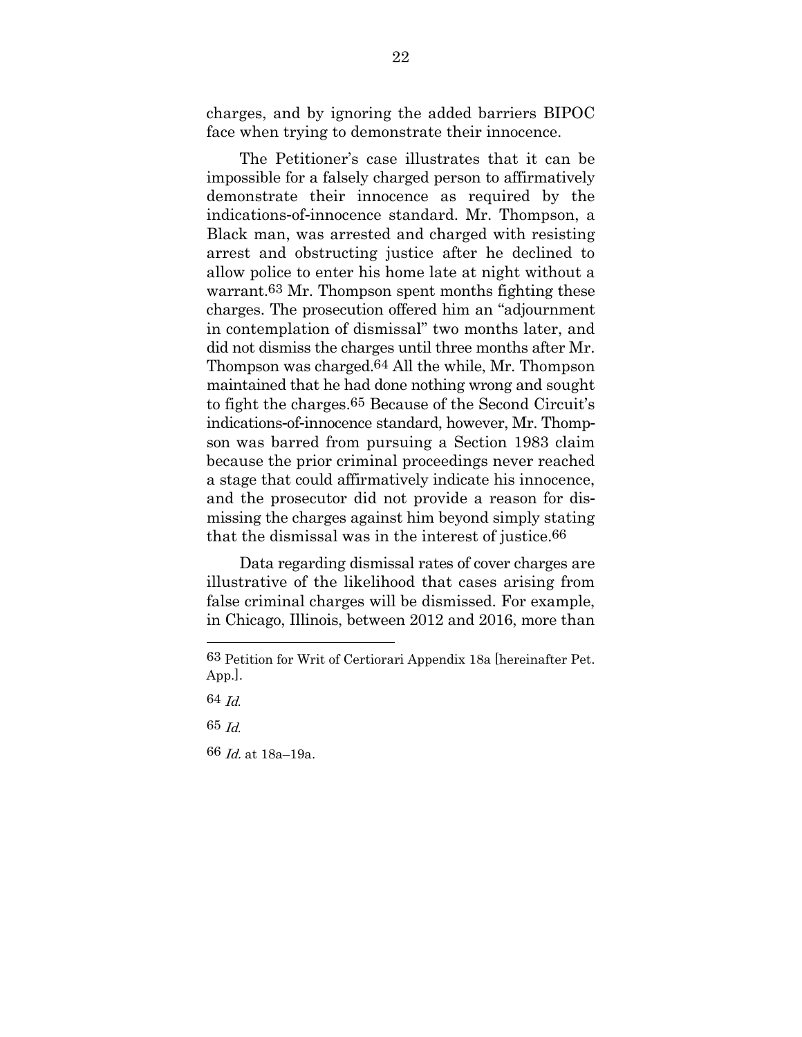charges, and by ignoring the added barriers BIPOC face when trying to demonstrate their innocence.

The Petitioner's case illustrates that it can be impossible for a falsely charged person to affirmatively demonstrate their innocence as required by the indications-of-innocence standard. Mr. Thompson, a Black man, was arrested and charged with resisting arrest and obstructing justice after he declined to allow police to enter his home late at night without a warrant.63 Mr. Thompson spent months fighting these charges. The prosecution offered him an "adjournment in contemplation of dismissal" two months later, and did not dismiss the charges until three months after Mr. Thompson was charged.64 All the while, Mr. Thompson maintained that he had done nothing wrong and sought to fight the charges.65 Because of the Second Circuit's indications-of-innocence standard, however, Mr. Thompson was barred from pursuing a Section 1983 claim because the prior criminal proceedings never reached a stage that could affirmatively indicate his innocence, and the prosecutor did not provide a reason for dismissing the charges against him beyond simply stating that the dismissal was in the interest of justice.66

Data regarding dismissal rates of cover charges are illustrative of the likelihood that cases arising from false criminal charges will be dismissed. For example, in Chicago, Illinois, between 2012 and 2016, more than

l

66  $Id$  at 18a–19a.

<sup>63</sup> Petition for Writ of Certiorari Appendix 18a [hereinafter Pet. App.].

<sup>64</sup> Id.

<sup>65</sup> Id.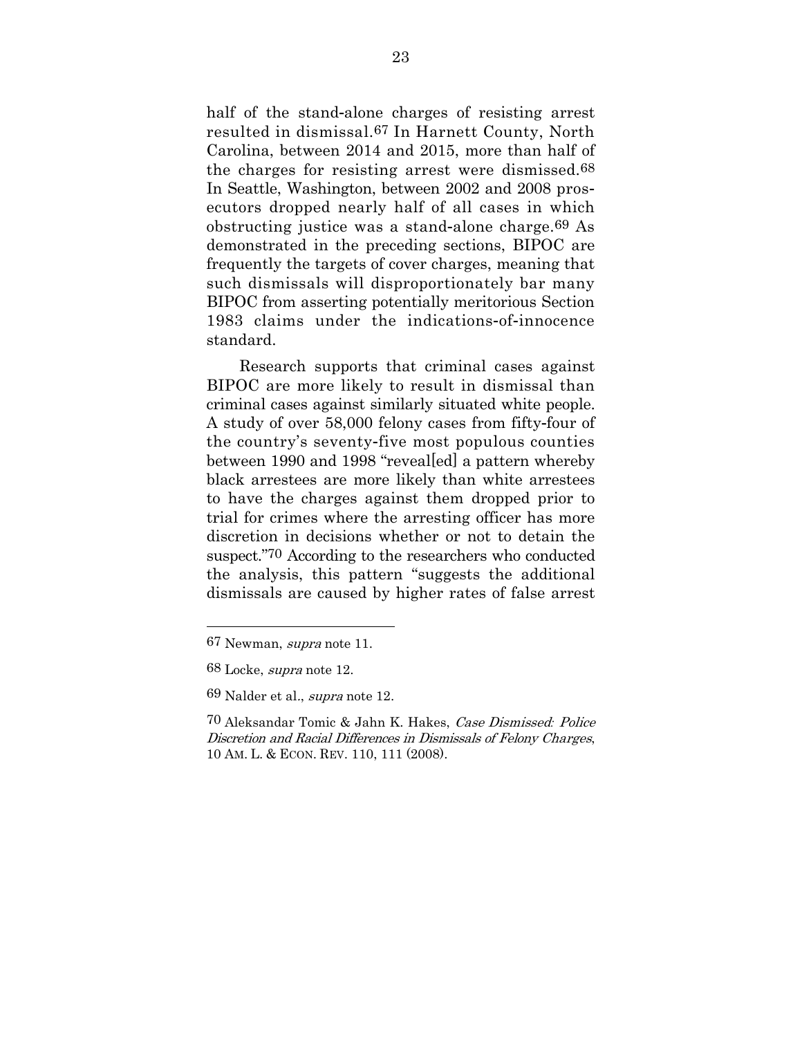half of the stand-alone charges of resisting arrest resulted in dismissal.67 In Harnett County, North Carolina, between 2014 and 2015, more than half of the charges for resisting arrest were dismissed.68 In Seattle, Washington, between 2002 and 2008 prosecutors dropped nearly half of all cases in which obstructing justice was a stand-alone charge.69 As demonstrated in the preceding sections, BIPOC are frequently the targets of cover charges, meaning that such dismissals will disproportionately bar many BIPOC from asserting potentially meritorious Section 1983 claims under the indications-of-innocence standard.

Research supports that criminal cases against BIPOC are more likely to result in dismissal than criminal cases against similarly situated white people. A study of over 58,000 felony cases from fifty-four of the country's seventy-five most populous counties between 1990 and 1998 "reveal[ed] a pattern whereby black arrestees are more likely than white arrestees to have the charges against them dropped prior to trial for crimes where the arresting officer has more discretion in decisions whether or not to detain the suspect."70 According to the researchers who conducted the analysis, this pattern "suggests the additional dismissals are caused by higher rates of false arrest

<sup>67</sup> Newman, supra note 11.

<sup>68</sup> Locke, supra note 12.

<sup>69</sup> Nalder et al., supra note 12.

<sup>70</sup> Aleksandar Tomic & Jahn K. Hakes, Case Dismissed*:* Police Discretion and Racial Differences in Dismissals of Felony Charges, 10 AM. L. & ECON. REV. 110, 111 (2008).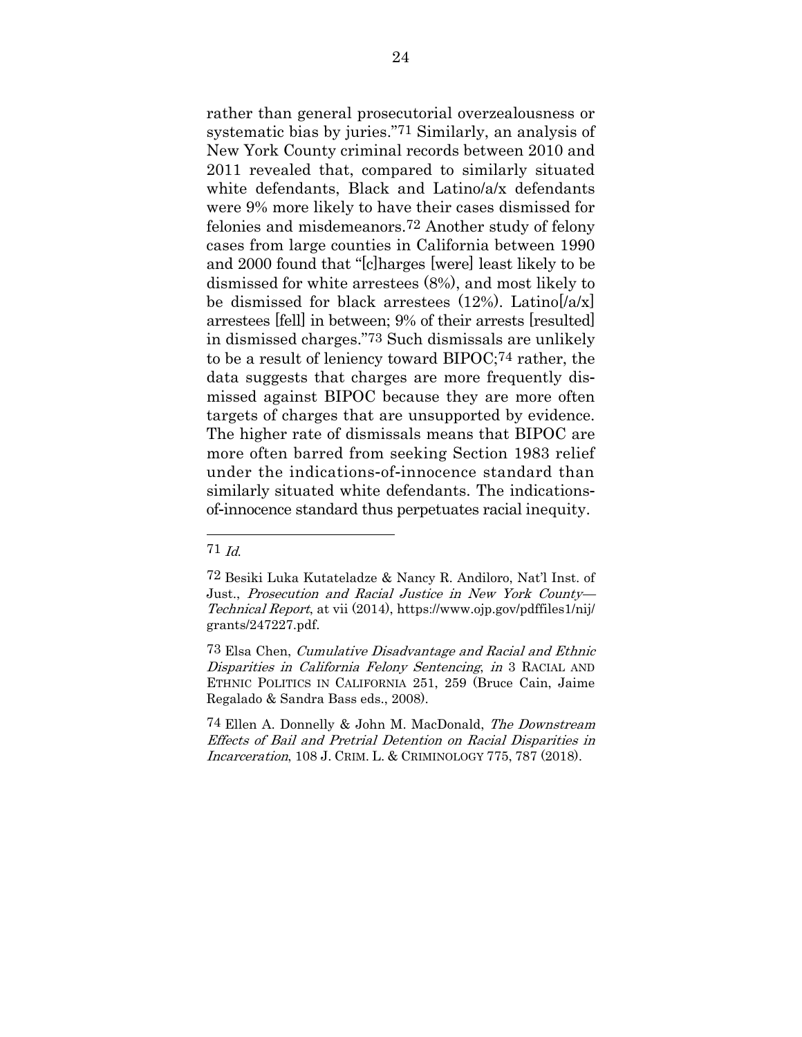rather than general prosecutorial overzealousness or systematic bias by juries."71 Similarly, an analysis of New York County criminal records between 2010 and 2011 revealed that, compared to similarly situated white defendants, Black and Latino/a/x defendants were 9% more likely to have their cases dismissed for felonies and misdemeanors.72 Another study of felony cases from large counties in California between 1990 and 2000 found that "[c]harges [were] least likely to be dismissed for white arrestees (8%), and most likely to be dismissed for black arrestees  $(12%)$ . Latino[/a/x] arrestees [fell] in between; 9% of their arrests [resulted] in dismissed charges."73 Such dismissals are unlikely to be a result of leniency toward BIPOC;74 rather, the data suggests that charges are more frequently dismissed against BIPOC because they are more often targets of charges that are unsupported by evidence. The higher rate of dismissals means that BIPOC are more often barred from seeking Section 1983 relief under the indications-of-innocence standard than similarly situated white defendants. The indicationsof-innocence standard thus perpetuates racial inequity.

<sup>71</sup> Id.

<sup>72</sup> Besiki Luka Kutateladze & Nancy R. Andiloro, Nat'l Inst. of Just., Prosecution and Racial Justice in New York County— Technical Report, at vii (2014), https://www.ojp.gov/pdffiles1/nij/ grants/247227.pdf.

<sup>73</sup> Elsa Chen, Cumulative Disadvantage and Racial and Ethnic Disparities in California Felony Sentencing, in 3 RACIAL AND ETHNIC POLITICS IN CALIFORNIA 251, 259 (Bruce Cain, Jaime Regalado & Sandra Bass eds., 2008).

<sup>74</sup> Ellen A. Donnelly & John M. MacDonald, The Downstream Effects of Bail and Pretrial Detention on Racial Disparities in Incarceration, 108 J. CRIM. L. & CRIMINOLOGY 775, 787 (2018).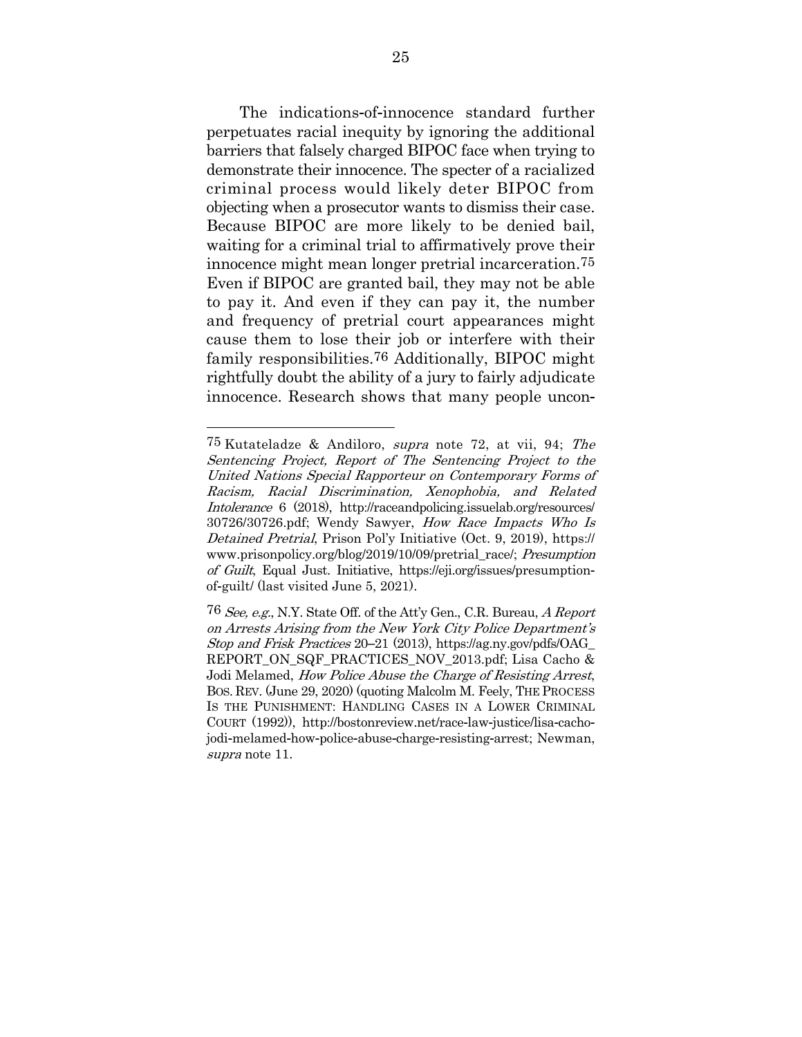The indications-of-innocence standard further perpetuates racial inequity by ignoring the additional barriers that falsely charged BIPOC face when trying to demonstrate their innocence. The specter of a racialized criminal process would likely deter BIPOC from objecting when a prosecutor wants to dismiss their case. Because BIPOC are more likely to be denied bail, waiting for a criminal trial to affirmatively prove their innocence might mean longer pretrial incarceration.75 Even if BIPOC are granted bail, they may not be able to pay it. And even if they can pay it, the number and frequency of pretrial court appearances might cause them to lose their job or interfere with their family responsibilities.76 Additionally, BIPOC might rightfully doubt the ability of a jury to fairly adjudicate innocence. Research shows that many people uncon-

<sup>75</sup> Kutateladze & Andiloro, supra note 72, at vii, 94; The Sentencing Project, Report of The Sentencing Project to the United Nations Special Rapporteur on Contemporary Forms of Racism, Racial Discrimination, Xenophobia, and Related Intolerance 6 (2018), http://raceandpolicing.issuelab.org/resources/ 30726/30726.pdf; Wendy Sawyer, How Race Impacts Who Is Detained Pretrial, Prison Pol'y Initiative (Oct. 9, 2019), https:// www.prisonpolicy.org/blog/2019/10/09/pretrial\_race/; Presumption of Guilt, Equal Just. Initiative, https://eji.org/issues/presumptionof-guilt/ (last visited June 5, 2021).

<sup>76</sup> See, e.g., N.Y. State Off. of the Att'y Gen., C.R. Bureau, A Report on Arrests Arising from the New York City Police Department's Stop and Frisk Practices 20–21 (2013), https://ag.ny.gov/pdfs/OAG\_ REPORT ON SQF PRACTICES NOV 2013.pdf; Lisa Cacho & Jodi Melamed, How Police Abuse the Charge of Resisting Arrest, BOS. REV. (June 29, 2020) (quoting Malcolm M. Feely, THE PROCESS IS THE PUNISHMENT: HANDLING CASES IN A LOWER CRIMINAL COURT (1992)), http://bostonreview.net/race-law-justice/lisa-cachojodi-melamed-how-police-abuse-charge-resisting-arrest; Newman, supra note 11.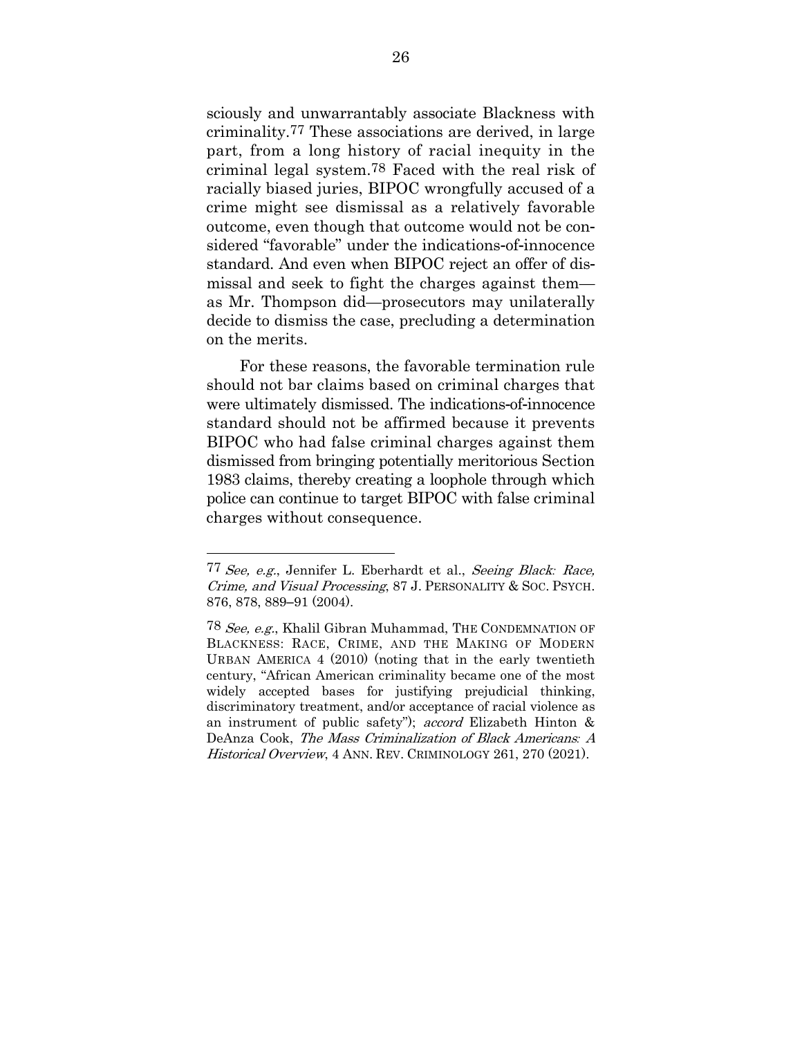sciously and unwarrantably associate Blackness with criminality.77 These associations are derived, in large part, from a long history of racial inequity in the criminal legal system.78 Faced with the real risk of racially biased juries, BIPOC wrongfully accused of a crime might see dismissal as a relatively favorable outcome, even though that outcome would not be considered "favorable" under the indications-of-innocence standard. And even when BIPOC reject an offer of dismissal and seek to fight the charges against them as Mr. Thompson did—prosecutors may unilaterally decide to dismiss the case, precluding a determination on the merits.

For these reasons, the favorable termination rule should not bar claims based on criminal charges that were ultimately dismissed. The indications-of-innocence standard should not be affirmed because it prevents BIPOC who had false criminal charges against them dismissed from bringing potentially meritorious Section 1983 claims, thereby creating a loophole through which police can continue to target BIPOC with false criminal charges without consequence.

<sup>77</sup> See, e.g., Jennifer L. Eberhardt et al., Seeing Black*:* Race, Crime, and Visual Processing, 87 J. PERSONALITY & SOC. PSYCH. 876, 878, 889–91 (2004).

<sup>78</sup> See, e.g., Khalil Gibran Muhammad, THE CONDEMNATION OF BLACKNESS: RACE, CRIME, AND THE MAKING OF MODERN URBAN AMERICA 4 (2010) (noting that in the early twentieth century, "African American criminality became one of the most widely accepted bases for justifying prejudicial thinking, discriminatory treatment, and/or acceptance of racial violence as an instrument of public safety"); accord Elizabeth Hinton & DeAnza Cook, The Mass Criminalization of Black Americans*:* A Historical Overview, 4 ANN. REV. CRIMINOLOGY 261, 270 (2021).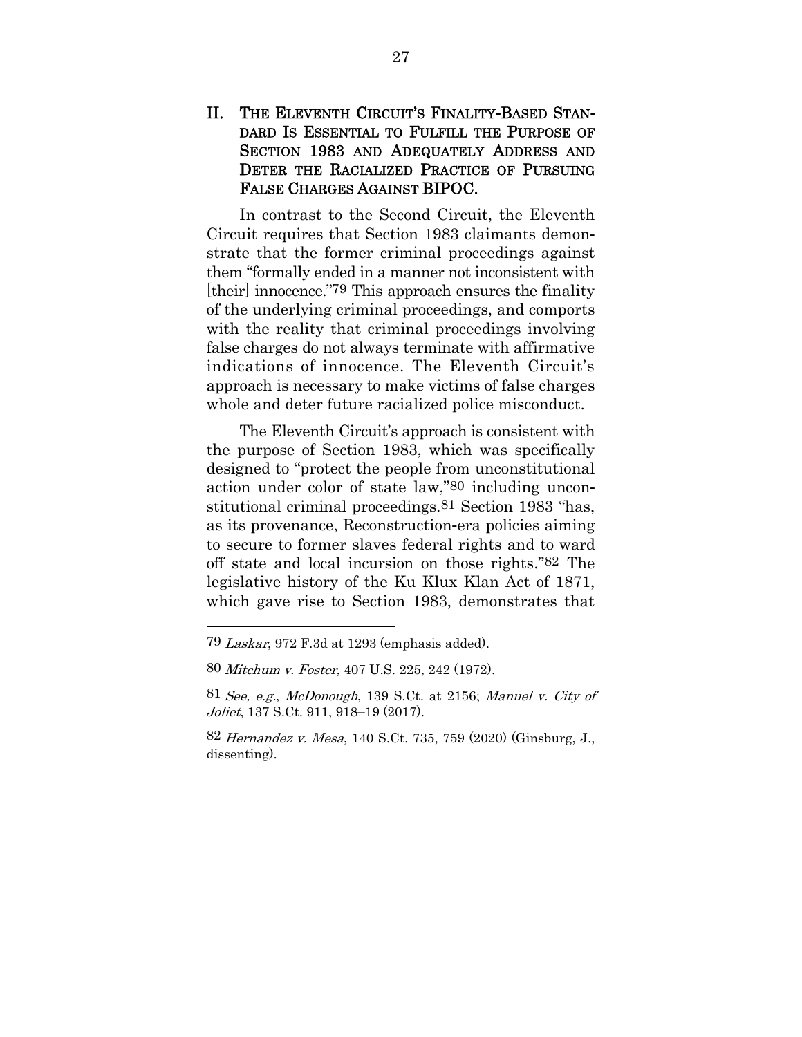#### II. THE ELEVENTH CIRCUIT'S FINALITY**-**BASED STAN**-**DARD IS ESSENTIAL TO FULFILL THE PURPOSE OF SECTION 1983 AND ADEQUATELY ADDRESS AND DETER THE RACIALIZED PRACTICE OF PURSUING FALSE CHARGES AGAINST BIPOC.

In contrast to the Second Circuit, the Eleventh Circuit requires that Section 1983 claimants demonstrate that the former criminal proceedings against them "formally ended in a manner not inconsistent with [their] innocence."79 This approach ensures the finality of the underlying criminal proceedings, and comports with the reality that criminal proceedings involving false charges do not always terminate with affirmative indications of innocence. The Eleventh Circuit's approach is necessary to make victims of false charges whole and deter future racialized police misconduct.

The Eleventh Circuit's approach is consistent with the purpose of Section 1983, which was specifically designed to "protect the people from unconstitutional action under color of state law,"80 including unconstitutional criminal proceedings.81 Section 1983 "has, as its provenance, Reconstruction-era policies aiming to secure to former slaves federal rights and to ward off state and local incursion on those rights."82 The legislative history of the Ku Klux Klan Act of 1871, which gave rise to Section 1983, demonstrates that

<sup>79</sup> Laskar, 972 F.3d at 1293 (emphasis added).

<sup>80</sup> Mitchum v. Foster, 407 U.S. 225, 242 (1972).

<sup>81</sup> See, e.g., McDonough, 139 S.Ct. at 2156; Manuel v. City of Joliet, 137 S.Ct. 911, 918–19 (2017).

<sup>82</sup> Hernandez v. Mesa, 140 S.Ct. 735, 759 (2020) (Ginsburg, J., dissenting).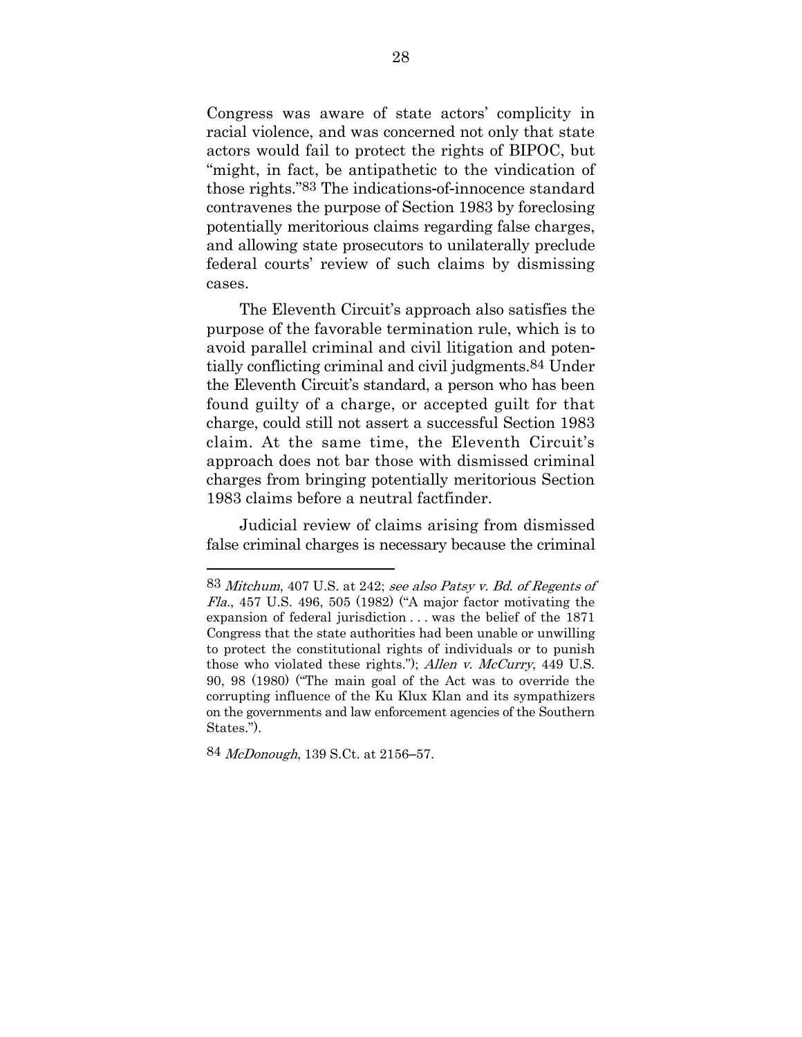Congress was aware of state actors' complicity in racial violence, and was concerned not only that state actors would fail to protect the rights of BIPOC, but "might, in fact, be antipathetic to the vindication of those rights."83 The indications-of-innocence standard contravenes the purpose of Section 1983 by foreclosing potentially meritorious claims regarding false charges, and allowing state prosecutors to unilaterally preclude federal courts' review of such claims by dismissing cases.

The Eleventh Circuit's approach also satisfies the purpose of the favorable termination rule, which is to avoid parallel criminal and civil litigation and potentially conflicting criminal and civil judgments.84 Under the Eleventh Circuit's standard, a person who has been found guilty of a charge, or accepted guilt for that charge, could still not assert a successful Section 1983 claim. At the same time, the Eleventh Circuit's approach does not bar those with dismissed criminal charges from bringing potentially meritorious Section 1983 claims before a neutral factfinder.

Judicial review of claims arising from dismissed false criminal charges is necessary because the criminal

84 *McDonough*, 139 S.Ct. at 2156–57.

<sup>83</sup> Mitchum, 407 U.S. at 242; see also Patsy v. Bd. of Regents of Fla., 457 U.S. 496, 505 (1982) ("A major factor motivating the expansion of federal jurisdiction . . . was the belief of the 1871 Congress that the state authorities had been unable or unwilling to protect the constitutional rights of individuals or to punish those who violated these rights."); Allen v. McCurry, 449 U.S. 90, 98 (1980) ("The main goal of the Act was to override the corrupting influence of the Ku Klux Klan and its sympathizers on the governments and law enforcement agencies of the Southern States.").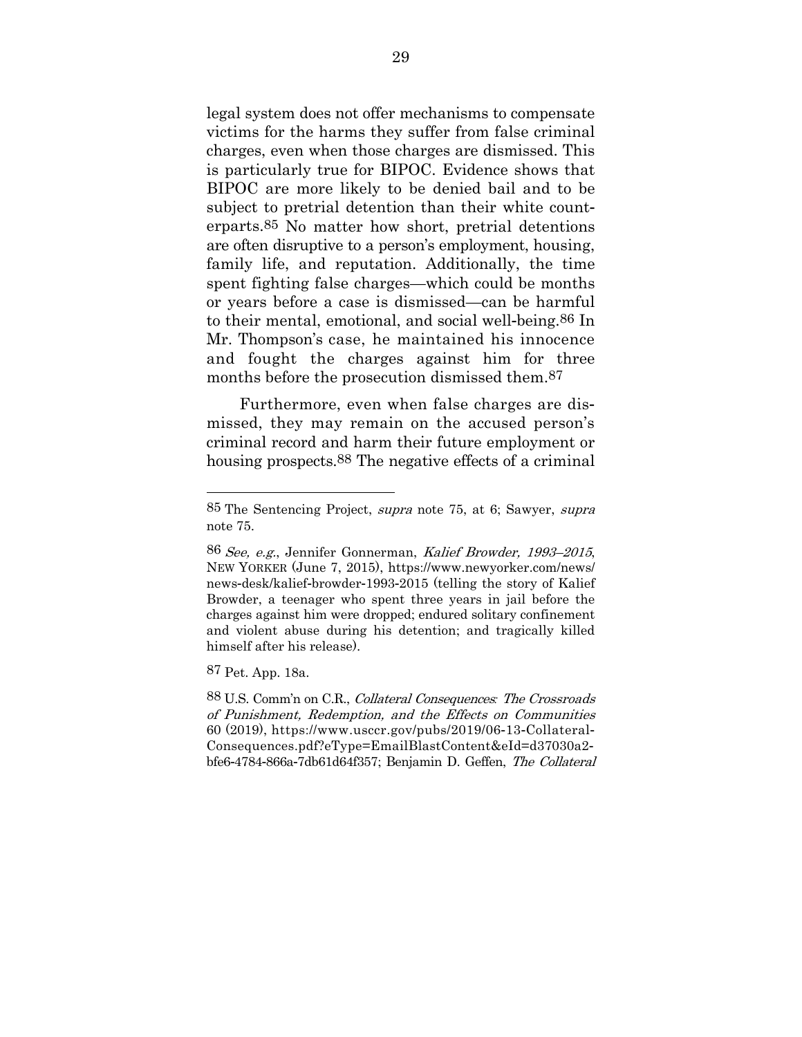legal system does not offer mechanisms to compensate victims for the harms they suffer from false criminal charges, even when those charges are dismissed. This is particularly true for BIPOC. Evidence shows that BIPOC are more likely to be denied bail and to be subject to pretrial detention than their white counterparts.85 No matter how short, pretrial detentions are often disruptive to a person's employment, housing, family life, and reputation. Additionally, the time spent fighting false charges—which could be months or years before a case is dismissed—can be harmful to their mental, emotional, and social well-being.86 In Mr. Thompson's case, he maintained his innocence and fought the charges against him for three months before the prosecution dismissed them.87

Furthermore, even when false charges are dismissed, they may remain on the accused person's criminal record and harm their future employment or housing prospects.88 The negative effects of a criminal

87 Pet. App. 18a.

<sup>85</sup> The Sentencing Project, supra note 75, at 6; Sawyer, supra note 75.

<sup>86</sup> See, e.g., Jennifer Gonnerman, Kalief Browder, 1993–2015, NEW YORKER (June 7, 2015), https://www.newyorker.com/news/ news-desk/kalief-browder-1993-2015 (telling the story of Kalief Browder, a teenager who spent three years in jail before the charges against him were dropped; endured solitary confinement and violent abuse during his detention; and tragically killed himself after his release).

<sup>88</sup> U.S. Comm'n on C.R., Collateral Consequences*:* The Crossroads of Punishment, Redemption, and the Effects on Communities 60 (2019), https://www.usccr.gov/pubs/2019/06-13-Collateral-Consequences.pdf?eType=EmailBlastContent&eId=d37030a2 bfe6-4784-866a-7db61d64f357; Benjamin D. Geffen, The Collateral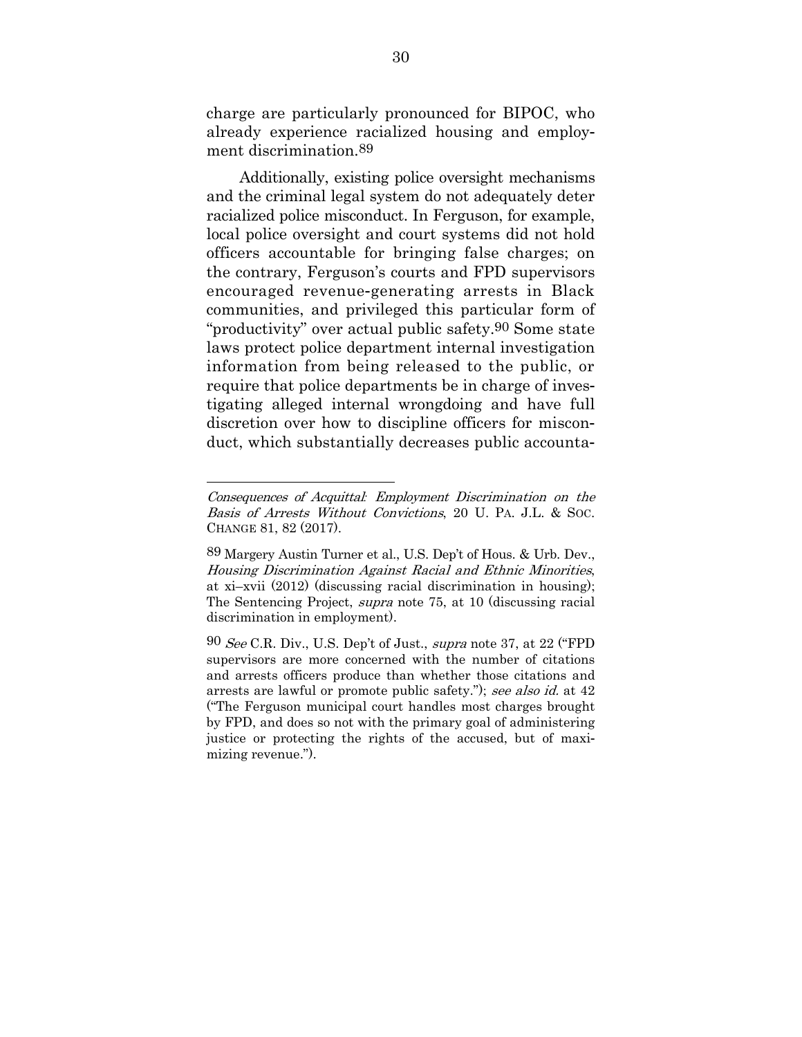charge are particularly pronounced for BIPOC, who already experience racialized housing and employment discrimination.89

Additionally, existing police oversight mechanisms and the criminal legal system do not adequately deter racialized police misconduct. In Ferguson, for example, local police oversight and court systems did not hold officers accountable for bringing false charges; on the contrary, Ferguson's courts and FPD supervisors encouraged revenue-generating arrests in Black communities, and privileged this particular form of "productivity" over actual public safety.90 Some state laws protect police department internal investigation information from being released to the public, or require that police departments be in charge of investigating alleged internal wrongdoing and have full discretion over how to discipline officers for misconduct, which substantially decreases public accounta-

Consequences of Acquittal*:* Employment Discrimination on the Basis of Arrests Without Convictions, 20 U. PA. J.L. & Soc. CHANGE 81, 82 (2017).

<sup>89</sup> Margery Austin Turner et al., U.S. Dep't of Hous. & Urb. Dev., Housing Discrimination Against Racial and Ethnic Minorities, at xi–xvii (2012) (discussing racial discrimination in housing); The Sentencing Project, *supra* note 75, at 10 (discussing racial discrimination in employment).

 $90$  See C.R. Div., U.S. Dep't of Just., supra note 37, at 22 ("FPD" supervisors are more concerned with the number of citations and arrests officers produce than whether those citations and arrests are lawful or promote public safety."); see also id. at 42 ("The Ferguson municipal court handles most charges brought by FPD, and does so not with the primary goal of administering justice or protecting the rights of the accused, but of maximizing revenue.").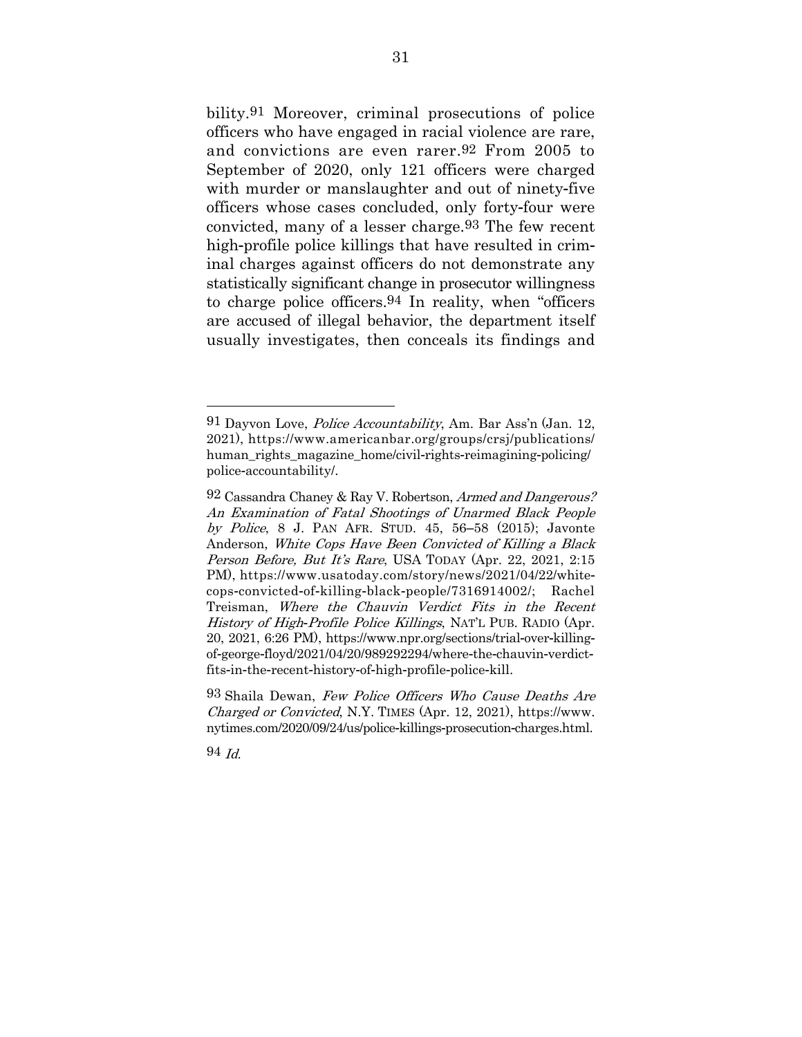bility.91 Moreover, criminal prosecutions of police officers who have engaged in racial violence are rare, and convictions are even rarer.92 From 2005 to September of 2020, only 121 officers were charged with murder or manslaughter and out of ninety-five officers whose cases concluded, only forty-four were convicted, many of a lesser charge.93 The few recent high-profile police killings that have resulted in criminal charges against officers do not demonstrate any statistically significant change in prosecutor willingness to charge police officers.94 In reality, when "officers are accused of illegal behavior, the department itself usually investigates, then conceals its findings and

94 Id.

<sup>91</sup> Dayvon Love, Police Accountability, Am. Bar Ass'n (Jan. 12, 2021), https://www.americanbar.org/groups/crsj/publications/ human rights magazine home/civil-rights-reimagining-policing/ police-accountability/.

<sup>92</sup> Cassandra Chaney & Ray V. Robertson, Armed and Dangerous? An Examination of Fatal Shootings of Unarmed Black People by Police, 8 J. PAN AFR. STUD. 45, 56–58 (2015); Javonte Anderson, White Cops Have Been Convicted of Killing a Black Person Before, But It's Rare, USA TODAY (Apr. 22, 2021, 2:15) PM), https://www.usatoday.com/story/news/2021/04/22/whitecops-convicted-of-killing-black-people/7316914002/; Rachel Treisman, Where the Chauvin Verdict Fits in the Recent History of High*-*Profile Police Killings, NAT'L PUB. RADIO (Apr. 20, 2021, 6:26 PM), https://www.npr.org/sections/trial-over-killingof-george-floyd/2021/04/20/989292294/where-the-chauvin-verdictfits-in-the-recent-history-of-high-profile-police-kill.

<sup>93</sup> Shaila Dewan, Few Police Officers Who Cause Deaths Are Charged or Convicted, N.Y. TIMES (Apr. 12, 2021), https://www. nytimes.com/2020/09/24/us/police-killings-prosecution-charges.html.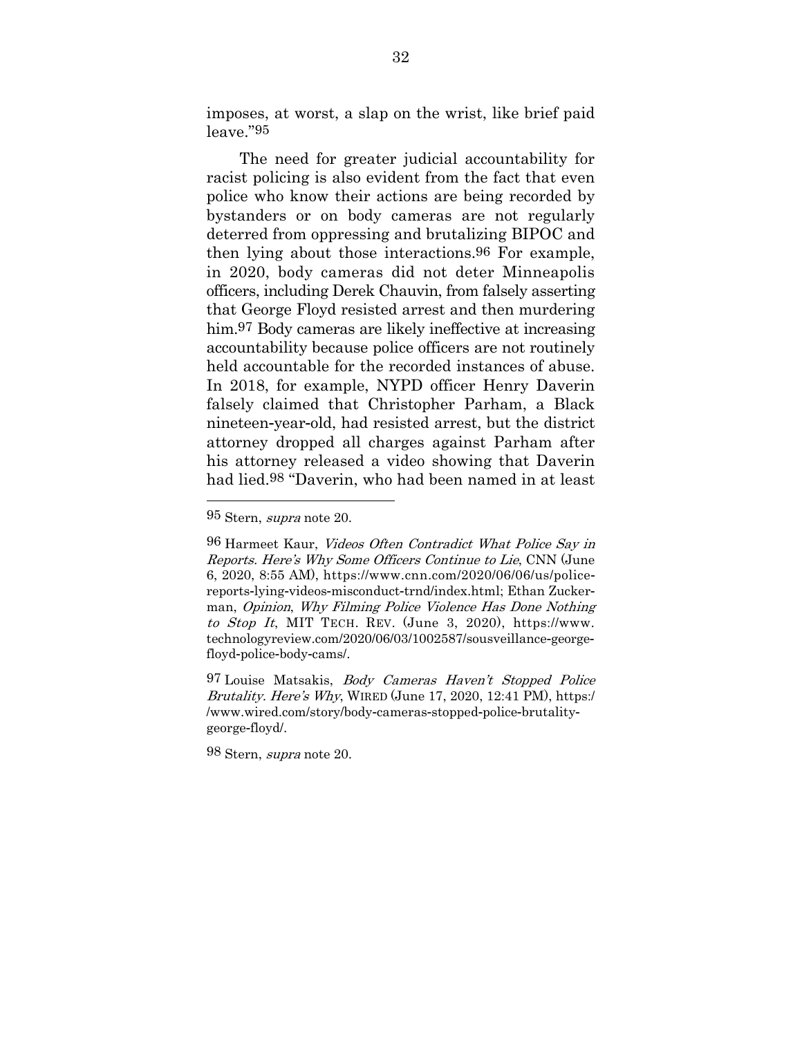imposes, at worst, a slap on the wrist, like brief paid leave."95

The need for greater judicial accountability for racist policing is also evident from the fact that even police who know their actions are being recorded by bystanders or on body cameras are not regularly deterred from oppressing and brutalizing BIPOC and then lying about those interactions.96 For example, in 2020, body cameras did not deter Minneapolis officers, including Derek Chauvin, from falsely asserting that George Floyd resisted arrest and then murdering him.<sup>97</sup> Body cameras are likely ineffective at increasing accountability because police officers are not routinely held accountable for the recorded instances of abuse. In 2018, for example, NYPD officer Henry Daverin falsely claimed that Christopher Parham, a Black nineteen-year-old, had resisted arrest, but the district attorney dropped all charges against Parham after his attorney released a video showing that Daverin had lied.98 "Daverin, who had been named in at least

95 Stern, supra note 20.

l

97 Louise Matsakis, Body Cameras Haven't Stopped Police Brutality. Here's Why, WIRED (June 17, 2020, 12:41 PM), https:/ /www.wired.com/story/body-cameras-stopped-police-brutalitygeorge-floyd/.

98 Stern, supra note 20.

<sup>96</sup> Harmeet Kaur, Videos Often Contradict What Police Say in Reports. Here's Why Some Officers Continue to Lie, CNN (June 6, 2020, 8:55 AM), https://www.cnn.com/2020/06/06/us/policereports-lying-videos-misconduct-trnd/index.html; Ethan Zuckerman, Opinion, Why Filming Police Violence Has Done Nothing to Stop It, MIT TECH. REV. (June 3, 2020), https://www. technologyreview.com/2020/06/03/1002587/sousveillance-georgefloyd-police-body-cams/.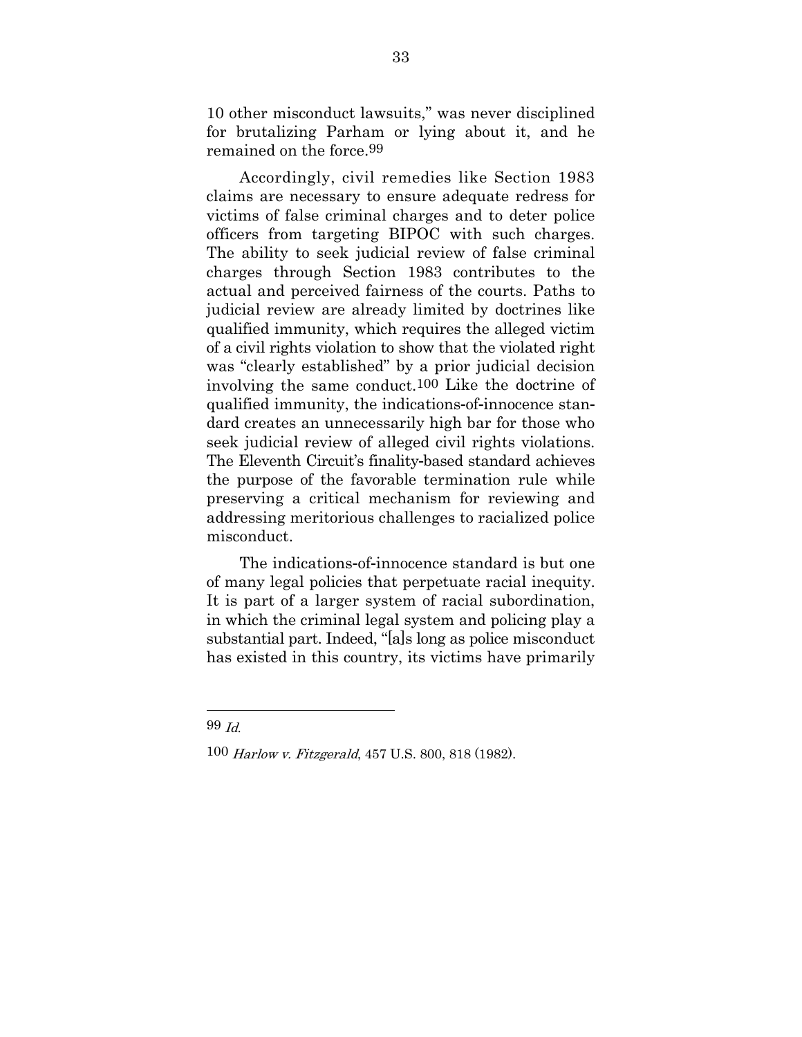10 other misconduct lawsuits," was never disciplined for brutalizing Parham or lying about it, and he remained on the force.99

Accordingly, civil remedies like Section 1983 claims are necessary to ensure adequate redress for victims of false criminal charges and to deter police officers from targeting BIPOC with such charges. The ability to seek judicial review of false criminal charges through Section 1983 contributes to the actual and perceived fairness of the courts. Paths to judicial review are already limited by doctrines like qualified immunity, which requires the alleged victim of a civil rights violation to show that the violated right was "clearly established" by a prior judicial decision involving the same conduct.100 Like the doctrine of qualified immunity, the indications-of-innocence standard creates an unnecessarily high bar for those who seek judicial review of alleged civil rights violations. The Eleventh Circuit's finality-based standard achieves the purpose of the favorable termination rule while preserving a critical mechanism for reviewing and addressing meritorious challenges to racialized police misconduct.

The indications-of-innocence standard is but one of many legal policies that perpetuate racial inequity. It is part of a larger system of racial subordination, in which the criminal legal system and policing play a substantial part. Indeed, "[a]s long as police misconduct has existed in this country, its victims have primarily

<sup>99</sup> Id.

<sup>100</sup> Harlow v. Fitzgerald, 457 U.S. 800, 818 (1982).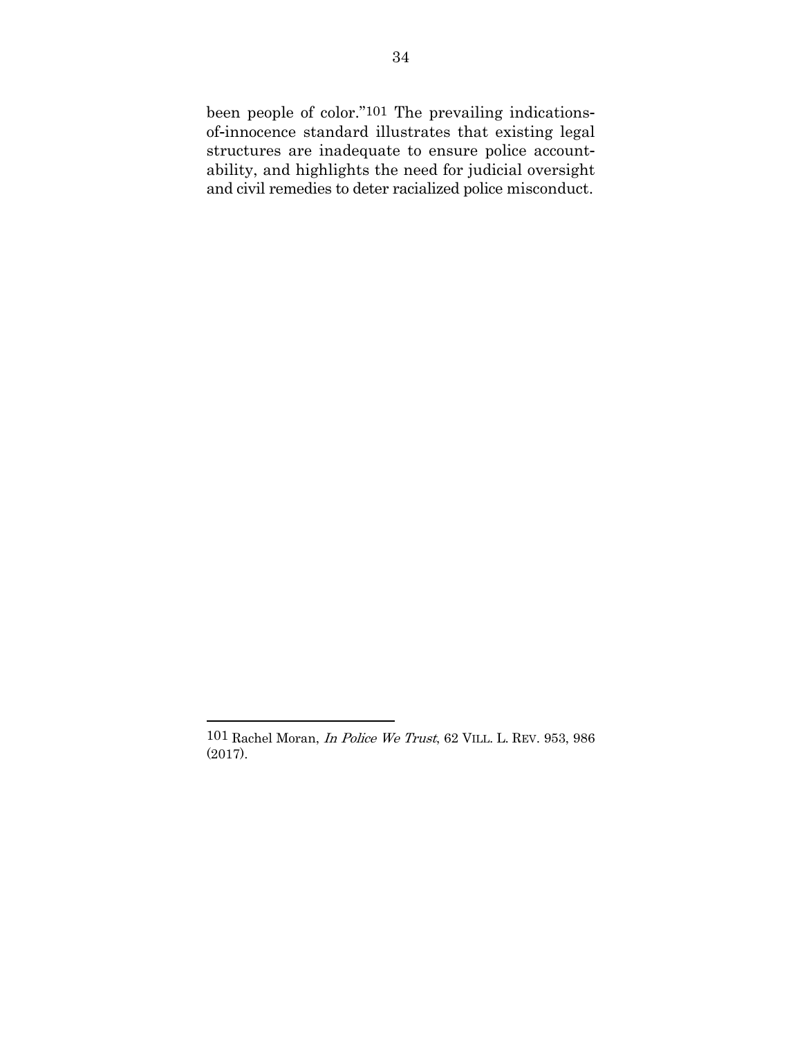been people of color."101 The prevailing indicationsof-innocence standard illustrates that existing legal structures are inadequate to ensure police accountability, and highlights the need for judicial oversight and civil remedies to deter racialized police misconduct.

<sup>101</sup> Rachel Moran, In Police We Trust, 62 VILL. L. REV. 953, 986 (2017).